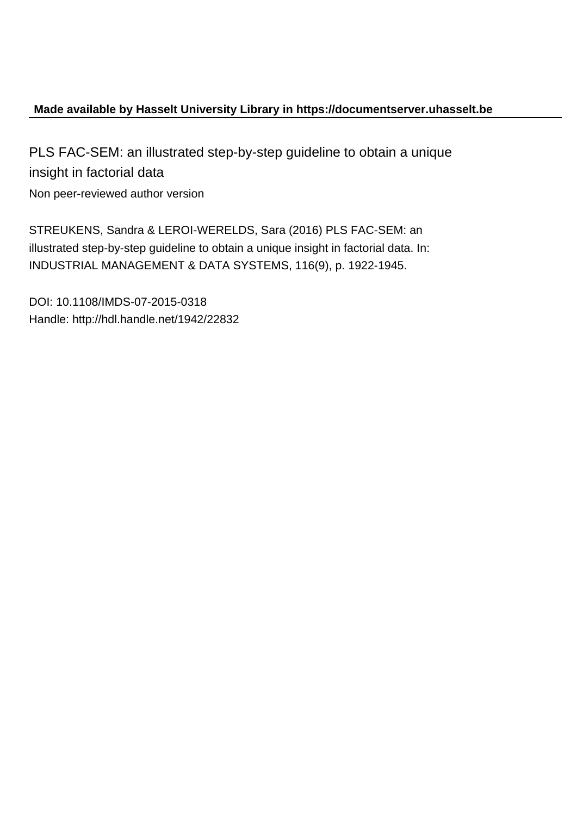# **Made available by Hasselt University Library in https://documentserver.uhasselt.be**

PLS FAC-SEM: an illustrated step-by-step guideline to obtain a unique insight in factorial data Non peer-reviewed author version

STREUKENS, Sandra & LEROI-WERELDS, Sara (2016) PLS FAC-SEM: an illustrated step-by-step guideline to obtain a unique insight in factorial data. In: INDUSTRIAL MANAGEMENT & DATA SYSTEMS, 116(9), p. 1922-1945.

DOI: 10.1108/IMDS-07-2015-0318 Handle: http://hdl.handle.net/1942/22832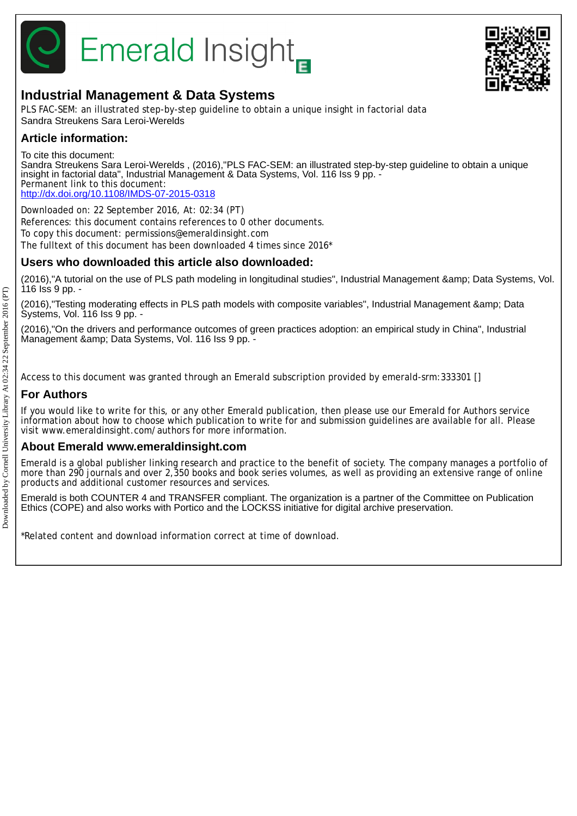

# Emerald Insight



# **Industrial Management & Data Systems**

PLS FAC-SEM: an illustrated step-by-step guideline to obtain a unique insight in factorial data Sandra Streukens Sara Leroi-Werelds

# **Article information:**

To cite this document: Sandra Streukens Sara Leroi-Werelds , (2016),"PLS FAC-SEM: an illustrated step-by-step guideline to obtain a unique insight in factorial data", Industrial Management & Data Systems, Vol. 116 Iss 9 pp. -Permanent link to this document:

<http://dx.doi.org/10.1108/IMDS-07-2015-0318>

Downloaded on: 22 September 2016, At: 02:34 (PT) References: this document contains references to 0 other documents. To copy this document: permissions@emeraldinsight.com The fulltext of this document has been downloaded 4 times since 2016\*

# **Users who downloaded this article also downloaded:**

(2016),"A tutorial on the use of PLS path modeling in longitudinal studies", Industrial Management & amp; Data Systems, Vol. 116 Iss 9 pp. -

(2016),"Testing moderating effects in PLS path models with composite variables", Industrial Management & amp; Data Systems, Vol. 116 Iss 9 pp. -

(2016),"On the drivers and performance outcomes of green practices adoption: an empirical study in China", Industrial Management & amp; Data Systems, Vol. 116 Iss 9 pp. -

Access to this document was granted through an Emerald subscription provided by emerald-srm:333301 []

# **For Authors**

If you would like to write for this, or any other Emerald publication, then please use our Emerald for Authors service information about how to choose which publication to write for and submission guidelines are available for all. Please visit www.emeraldinsight.com/authors for more information.

# **About Emerald www.emeraldinsight.com**

Emerald is a global publisher linking research and practice to the benefit of society. The company manages a portfolio of more than 290 journals and over 2,350 books and book series volumes, as well as providing an extensive range of online products and additional customer resources and services.

Emerald is both COUNTER 4 and TRANSFER compliant. The organization is a partner of the Committee on Publication Ethics (COPE) and also works with Portico and the LOCKSS initiative for digital archive preservation.

\*Related content and download information correct at time of download.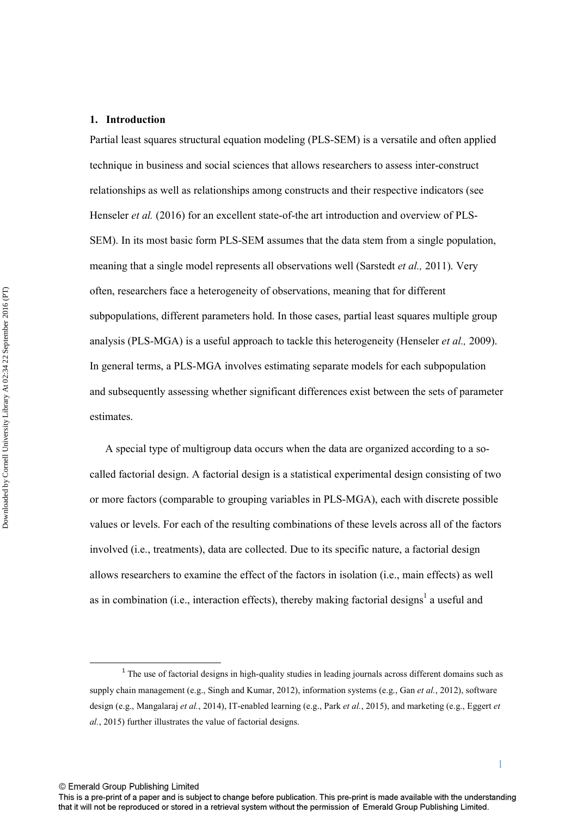#### **1. Introduction**

Partial least squares structural equation modeling (PLS-SEM) is a versatile and often applied technique in business and social sciences that allows researchers to assess inter-construct relationships as well as relationships among constructs and their respective indicators (see Henseler *et al.* (2016) for an excellent state-of-the art introduction and overview of PLS-SEM). In its most basic form PLS-SEM assumes that the data stem from a single population, meaning that a single model represents all observations well (Sarstedt *et al.,* 2011). Very often, researchers face a heterogeneity of observations, meaning that for different subpopulations, different parameters hold. In those cases, partial least squares multiple group analysis (PLS-MGA) is a useful approach to tackle this heterogeneity (Henseler *et al.,* 2009). In general terms, a PLS-MGA involves estimating separate models for each subpopulation and subsequently assessing whether significant differences exist between the sets of parameter estimates.

A special type of multigroup data occurs when the data are organized according to a socalled factorial design. A factorial design is a statistical experimental design consisting of two or more factors (comparable to grouping variables in PLS-MGA), each with discrete possible values or levels. For each of the resulting combinations of these levels across all of the factors involved (i.e., treatments), data are collected. Due to its specific nature, a factorial design allows researchers to examine the effect of the factors in isolation (i.e., main effects) as well as in combination (i.e., interaction effects), thereby making factorial designs<sup>1</sup> a useful and

© Emerald Group Publishing Limited

l

<sup>&</sup>lt;sup>1</sup> The use of factorial designs in high-quality studies in leading journals across different domains such as supply chain management (e.g., Singh and Kumar, 2012), information systems (e.g., Gan *et al.*, 2012), software design (e.g., Mangalaraj *et al.*, 2014), IT-enabled learning (e.g., Park *et al.*, 2015), and marketing (e.g., Eggert *et al.*, 2015) further illustrates the value of factorial designs.

This is a pre-print of a paper and is subject to change before publication. This pre-print is made available with the understanding that it will not be reproduced or stored in a retrieval system without the permission of Emerald Group Publishing Limited.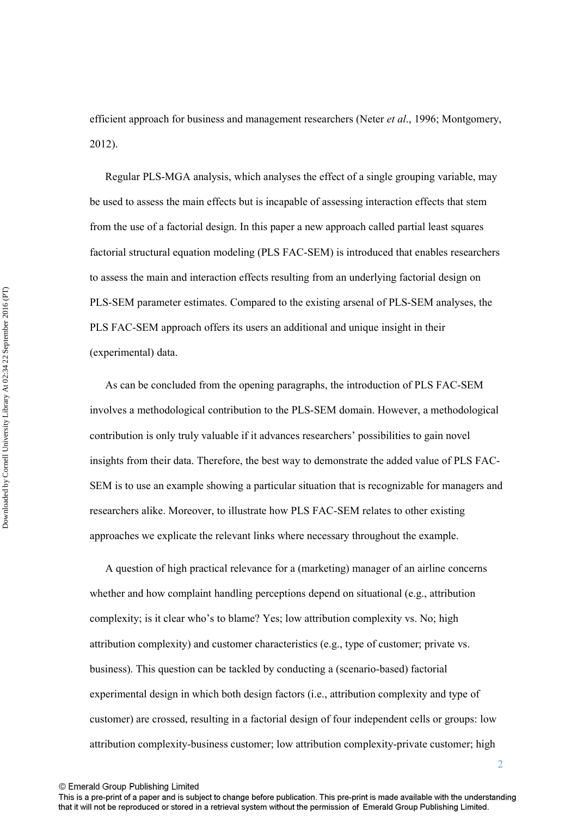efficient approach for business and management researchers (Neter *et al*., 1996; Montgomery, 2012).

Regular PLS-MGA analysis, which analyses the effect of a single grouping variable, may be used to assess the main effects but is incapable of assessing interaction effects that stem from the use of a factorial design. In this paper a new approach called partial least squares factorial structural equation modeling (PLS FAC-SEM) is introduced that enables researchers to assess the main and interaction effects resulting from an underlying factorial design on PLS-SEM parameter estimates. Compared to the existing arsenal of PLS-SEM analyses, the PLS FAC-SEM approach offers its users an additional and unique insight in their (experimental) data.

As can be concluded from the opening paragraphs, the introduction of PLS FAC-SEM involves a methodological contribution to the PLS-SEM domain. However, a methodological contribution is only truly valuable if it advances researchers' possibilities to gain novel insights from their data. Therefore, the best way to demonstrate the added value of PLS FAC-SEM is to use an example showing a particular situation that is recognizable for managers and researchers alike. Moreover, to illustrate how PLS FAC-SEM relates to other existing approaches we explicate the relevant links where necessary throughout the example.

A question of high practical relevance for a (marketing) manager of an airline concerns whether and how complaint handling perceptions depend on situational (e.g., attribution complexity; is it clear who's to blame? Yes; low attribution complexity vs. No; high attribution complexity) and customer characteristics (e.g., type of customer; private vs. business). This question can be tackled by conducting a (scenario-based) factorial experimental design in which both design factors (i.e., attribution complexity and type of customer) are crossed, resulting in a factorial design of four independent cells or groups: low attribution complexity-business customer; low attribution complexity-private customer; high

© Emerald Group Publishing Limited

This is a pre-print of a paper and is subject to change before publication. This pre-print is made available with the understanding that it will not be reproduced or stored in a retrieval system without the permission of Emerald Group Publishing Limited.

2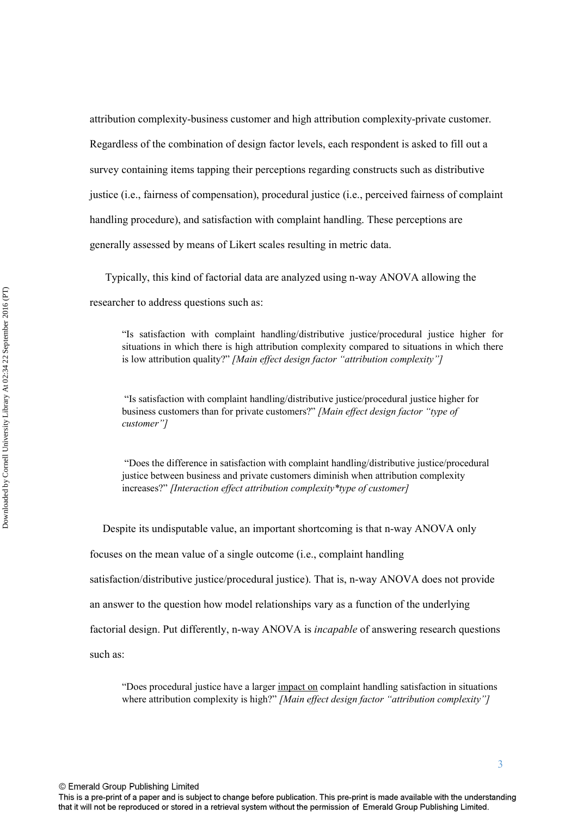attribution complexity-business customer and high attribution complexity-private customer. Regardless of the combination of design factor levels, each respondent is asked to fill out a survey containing items tapping their perceptions regarding constructs such as distributive justice (i.e., fairness of compensation), procedural justice (i.e., perceived fairness of complaint handling procedure), and satisfaction with complaint handling. These perceptions are generally assessed by means of Likert scales resulting in metric data.

Typically, this kind of factorial data are analyzed using n-way ANOVA allowing the researcher to address questions such as:

"Is satisfaction with complaint handling/distributive justice/procedural justice higher for situations in which there is high attribution complexity compared to situations in which there is low attribution quality?" *[Main effect design factor "attribution complexity"]*

 "Is satisfaction with complaint handling/distributive justice/procedural justice higher for business customers than for private customers?" *[Main effect design factor "type of customer"]*

 "Does the difference in satisfaction with complaint handling/distributive justice/procedural justice between business and private customers diminish when attribution complexity increases?" *[Interaction effect attribution complexity\*type of customer]*

Despite its undisputable value, an important shortcoming is that n-way ANOVA only focuses on the mean value of a single outcome (i.e., complaint handling satisfaction/distributive justice/procedural justice). That is, n-way ANOVA does not provide an answer to the question how model relationships vary as a function of the underlying factorial design. Put differently, n-way ANOVA is *incapable* of answering research questions such as:

"Does procedural justice have a larger impact on complaint handling satisfaction in situations where attribution complexity is high?" *[Main effect design factor "attribution complexity"]*

© Emerald Group Publishing Limited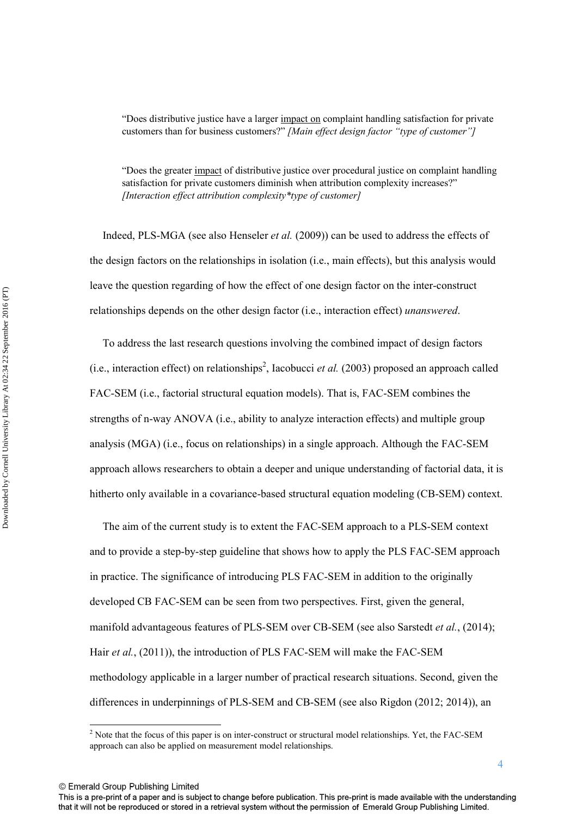"Does distributive justice have a larger impact on complaint handling satisfaction for private customers than for business customers?" *[Main effect design factor "type of customer"]*

"Does the greater impact of distributive justice over procedural justice on complaint handling satisfaction for private customers diminish when attribution complexity increases?" *[Interaction effect attribution complexity\*type of customer]*

Indeed, PLS-MGA (see also Henseler *et al.* (2009)) can be used to address the effects of the design factors on the relationships in isolation (i.e., main effects), but this analysis would leave the question regarding of how the effect of one design factor on the inter-construct relationships depends on the other design factor (i.e., interaction effect) *unanswered*.

To address the last research questions involving the combined impact of design factors  $(i.e., interaction effect)$  on relationships<sup>2</sup>, Iacobucci *et al.* (2003) proposed an approach called FAC-SEM (i.e., factorial structural equation models). That is, FAC-SEM combines the strengths of n-way ANOVA (i.e., ability to analyze interaction effects) and multiple group analysis (MGA) (i.e., focus on relationships) in a single approach. Although the FAC-SEM approach allows researchers to obtain a deeper and unique understanding of factorial data, it is hitherto only available in a covariance-based structural equation modeling (CB-SEM) context.

The aim of the current study is to extent the FAC-SEM approach to a PLS-SEM context and to provide a step-by-step guideline that shows how to apply the PLS FAC-SEM approach in practice. The significance of introducing PLS FAC-SEM in addition to the originally developed CB FAC-SEM can be seen from two perspectives. First, given the general, manifold advantageous features of PLS-SEM over CB-SEM (see also Sarstedt *et al.*, (2014); Hair *et al.*, (2011)), the introduction of PLS FAC-SEM will make the FAC-SEM methodology applicable in a larger number of practical research situations. Second, given the differences in underpinnings of PLS-SEM and CB-SEM (see also Rigdon (2012; 2014)), an

© Emerald Group Publishing Limited

l

 $2^{2}$  Note that the focus of this paper is on inter-construct or structural model relationships. Yet, the FAC-SEM approach can also be applied on measurement model relationships.

This is a pre-print of a paper and is subject to change before publication. This pre-print is made available with the understanding that it will not be reproduced or stored in a retrieval system without the permission of Emerald Group Publishing Limited.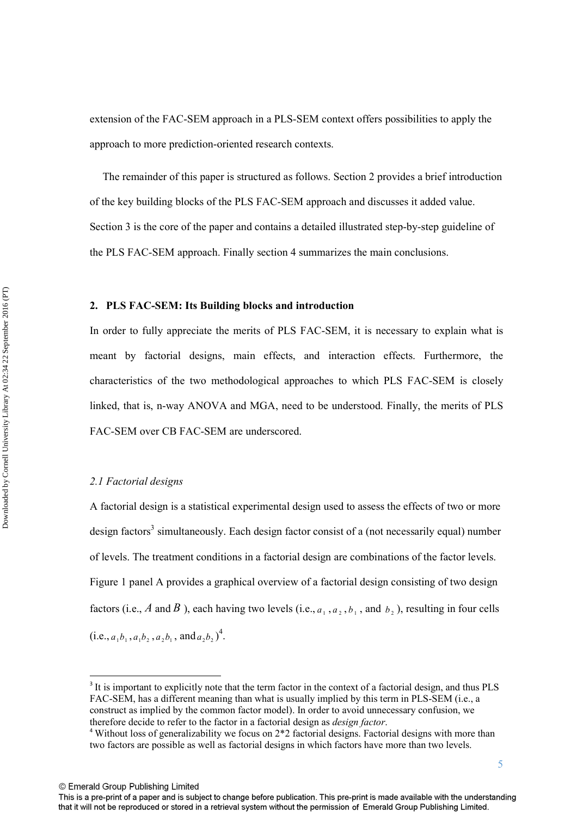extension of the FAC-SEM approach in a PLS-SEM context offers possibilities to apply the approach to more prediction-oriented research contexts.

The remainder of this paper is structured as follows. Section 2 provides a brief introduction of the key building blocks of the PLS FAC-SEM approach and discusses it added value. Section 3 is the core of the paper and contains a detailed illustrated step-by-step guideline of the PLS FAC-SEM approach. Finally section 4 summarizes the main conclusions.

#### **2. PLS FAC-SEM: Its Building blocks and introduction**

In order to fully appreciate the merits of PLS FAC-SEM, it is necessary to explain what is meant by factorial designs, main effects, and interaction effects. Furthermore, the characteristics of the two methodological approaches to which PLS FAC-SEM is closely linked, that is, n-way ANOVA and MGA, need to be understood. Finally, the merits of PLS FAC-SEM over CB FAC-SEM are underscored.

# *2.1 Factorial designs*

A factorial design is a statistical experimental design used to assess the effects of two or more design factors<sup>3</sup> simultaneously. Each design factor consist of a (not necessarily equal) number of levels. The treatment conditions in a factorial design are combinations of the factor levels. Figure 1 panel A provides a graphical overview of a factorial design consisting of two design factors (i.e., A and B), each having two levels (i.e.,  $a_1$ ,  $a_2$ ,  $b_1$ , and  $b_2$ ), resulting in four cells  $(i.e., a_1b_1, a_1b_2, a_2b_1, and a_2b_2)^4$ .

© Emerald Group Publishing Limited

<sup>&</sup>lt;sup>3</sup> It is important to explicitly note that the term factor in the context of a factorial design, and thus PLS FAC-SEM, has a different meaning than what is usually implied by this term in PLS-SEM (i.e., a construct as implied by the common factor model). In order to avoid unnecessary confusion, we therefore decide to refer to the factor in a factorial design as *design factor*.

<sup>&</sup>lt;sup>4</sup> Without loss of generalizability we focus on  $2*2$  factorial designs. Factorial designs with more than two factors are possible as well as factorial designs in which factors have more than two levels.

This is a pre-print of a paper and is subject to change before publication. This pre-print is made available with the understanding that it will not be reproduced or stored in a retrieval system without the permission of Emerald Group Publishing Limited.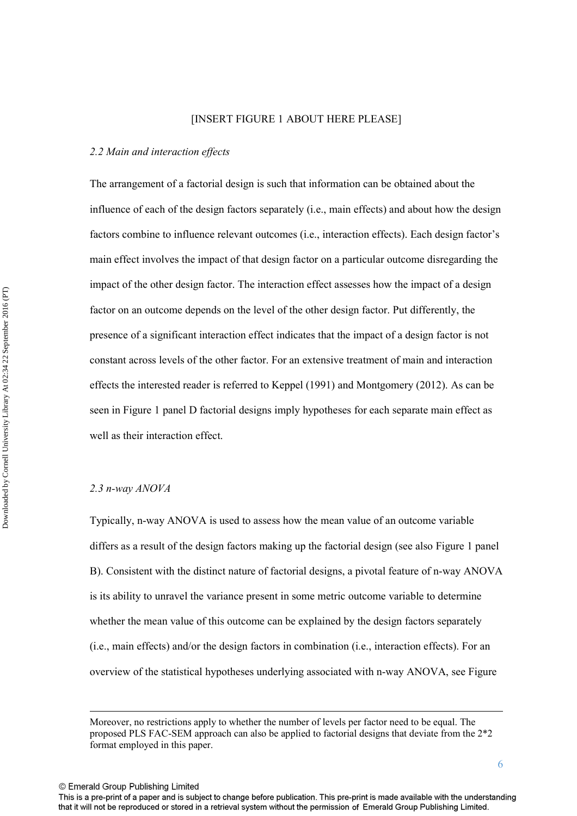#### [INSERT FIGURE 1 ABOUT HERE PLEASE]

#### *2.2 Main and interaction effects*

The arrangement of a factorial design is such that information can be obtained about the influence of each of the design factors separately (i.e., main effects) and about how the design factors combine to influence relevant outcomes (i.e., interaction effects). Each design factor's main effect involves the impact of that design factor on a particular outcome disregarding the impact of the other design factor. The interaction effect assesses how the impact of a design factor on an outcome depends on the level of the other design factor. Put differently, the presence of a significant interaction effect indicates that the impact of a design factor is not constant across levels of the other factor. For an extensive treatment of main and interaction effects the interested reader is referred to Keppel (1991) and Montgomery (2012). As can be seen in Figure 1 panel D factorial designs imply hypotheses for each separate main effect as well as their interaction effect.

# *2.3 n-way ANOVA*

Typically, n-way ANOVA is used to assess how the mean value of an outcome variable differs as a result of the design factors making up the factorial design (see also Figure 1 panel B). Consistent with the distinct nature of factorial designs, a pivotal feature of n-way ANOVA is its ability to unravel the variance present in some metric outcome variable to determine whether the mean value of this outcome can be explained by the design factors separately (i.e., main effects) and/or the design factors in combination (i.e., interaction effects). For an overview of the statistical hypotheses underlying associated with n-way ANOVA, see Figure

© Emerald Group Publishing Limited

Moreover, no restrictions apply to whether the number of levels per factor need to be equal. The proposed PLS FAC-SEM approach can also be applied to factorial designs that deviate from the 2\*2 format employed in this paper.

This is a pre-print of a paper and is subject to change before publication. This pre-print is made available with the understanding that it will not be reproduced or stored in a retrieval system without the permission of Emerald Group Publishing Limited.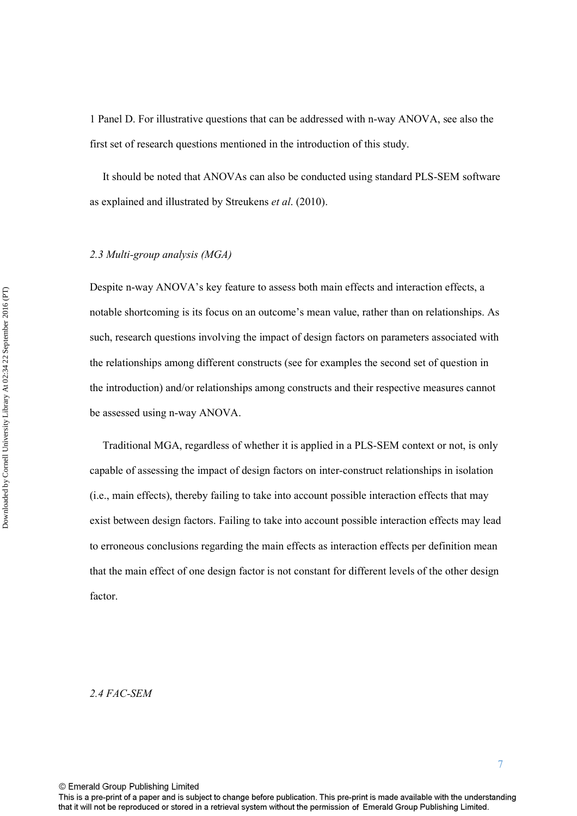1 Panel D. For illustrative questions that can be addressed with n-way ANOVA, see also the first set of research questions mentioned in the introduction of this study.

It should be noted that ANOVAs can also be conducted using standard PLS-SEM software as explained and illustrated by Streukens *et al*. (2010).

# *2.3 Multi-group analysis (MGA)*

Despite n-way ANOVA's key feature to assess both main effects and interaction effects, a notable shortcoming is its focus on an outcome's mean value, rather than on relationships. As such, research questions involving the impact of design factors on parameters associated with the relationships among different constructs (see for examples the second set of question in the introduction) and/or relationships among constructs and their respective measures cannot be assessed using n-way ANOVA.

Traditional MGA, regardless of whether it is applied in a PLS-SEM context or not, is only capable of assessing the impact of design factors on inter-construct relationships in isolation (i.e., main effects), thereby failing to take into account possible interaction effects that may exist between design factors. Failing to take into account possible interaction effects may lead to erroneous conclusions regarding the main effects as interaction effects per definition mean that the main effect of one design factor is not constant for different levels of the other design factor.

*2.4 FAC-SEM* 

Downloaded by Cornell University Library At 02:34 22 September 2016 (PT) Downloaded by Cornell University Library At 02:34 22 September 2016 (PT)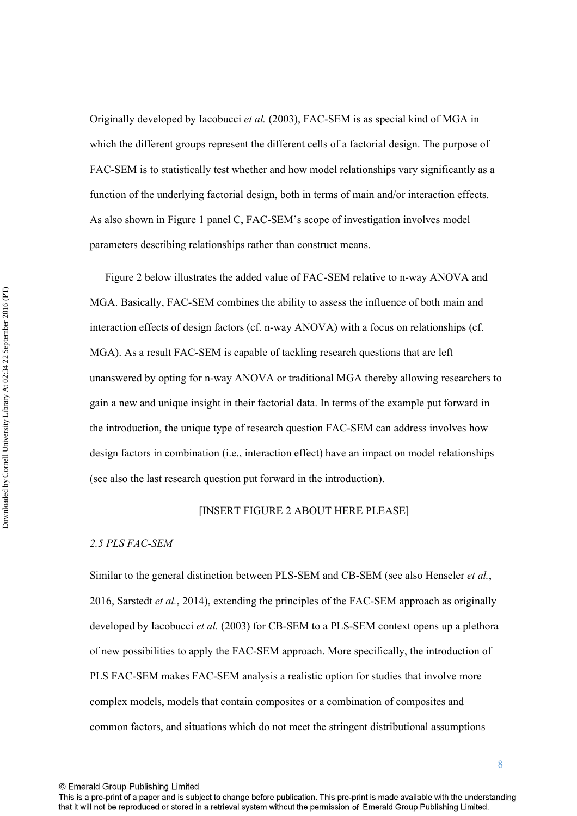Originally developed by Iacobucci *et al.* (2003), FAC-SEM is as special kind of MGA in which the different groups represent the different cells of a factorial design. The purpose of FAC-SEM is to statistically test whether and how model relationships vary significantly as a function of the underlying factorial design, both in terms of main and/or interaction effects. As also shown in Figure 1 panel C, FAC-SEM's scope of investigation involves model parameters describing relationships rather than construct means.

Figure 2 below illustrates the added value of FAC-SEM relative to n-way ANOVA and MGA. Basically, FAC-SEM combines the ability to assess the influence of both main and interaction effects of design factors (cf. n-way ANOVA) with a focus on relationships (cf. MGA). As a result FAC-SEM is capable of tackling research questions that are left unanswered by opting for n-way ANOVA or traditional MGA thereby allowing researchers to gain a new and unique insight in their factorial data. In terms of the example put forward in the introduction, the unique type of research question FAC-SEM can address involves how design factors in combination (i.e., interaction effect) have an impact on model relationships (see also the last research question put forward in the introduction).

# [INSERT FIGURE 2 ABOUT HERE PLEASE]

# *2.5 PLS FAC-SEM*

Similar to the general distinction between PLS-SEM and CB-SEM (see also Henseler *et al.*, 2016, Sarstedt *et al.*, 2014), extending the principles of the FAC-SEM approach as originally developed by Iacobucci *et al.* (2003) for CB-SEM to a PLS-SEM context opens up a plethora of new possibilities to apply the FAC-SEM approach. More specifically, the introduction of PLS FAC-SEM makes FAC-SEM analysis a realistic option for studies that involve more complex models, models that contain composites or a combination of composites and common factors, and situations which do not meet the stringent distributional assumptions

© Emerald Group Publishing Limited

This is a pre-print of a paper and is subject to change before publication. This pre-print is made available with the understanding that it will not be reproduced or stored in a retrieval system without the permission of Emerald Group Publishing Limited.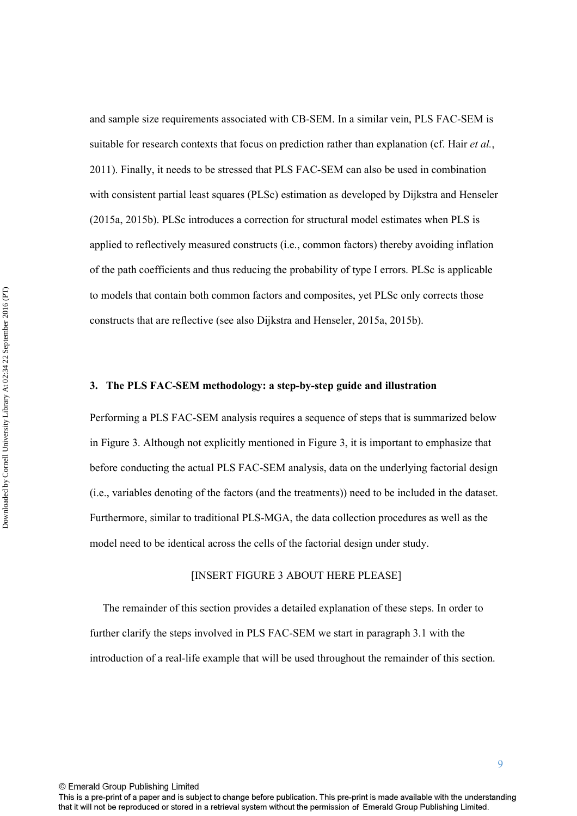and sample size requirements associated with CB-SEM. In a similar vein, PLS FAC-SEM is suitable for research contexts that focus on prediction rather than explanation (cf. Hair *et al.*, 2011). Finally, it needs to be stressed that PLS FAC-SEM can also be used in combination with consistent partial least squares (PLSc) estimation as developed by Dijkstra and Henseler (2015a, 2015b). PLSc introduces a correction for structural model estimates when PLS is applied to reflectively measured constructs (i.e., common factors) thereby avoiding inflation of the path coefficients and thus reducing the probability of type I errors. PLSc is applicable to models that contain both common factors and composites, yet PLSc only corrects those constructs that are reflective (see also Dijkstra and Henseler, 2015a, 2015b).

## **3. The PLS FAC-SEM methodology: a step-by-step guide and illustration**

Performing a PLS FAC-SEM analysis requires a sequence of steps that is summarized below in Figure 3. Although not explicitly mentioned in Figure 3, it is important to emphasize that before conducting the actual PLS FAC-SEM analysis, data on the underlying factorial design (i.e., variables denoting of the factors (and the treatments)) need to be included in the dataset. Furthermore, similar to traditional PLS-MGA, the data collection procedures as well as the model need to be identical across the cells of the factorial design under study.

## [INSERT FIGURE 3 ABOUT HERE PLEASE]

The remainder of this section provides a detailed explanation of these steps. In order to further clarify the steps involved in PLS FAC-SEM we start in paragraph 3.1 with the introduction of a real-life example that will be used throughout the remainder of this section.

© Emerald Group Publishing Limited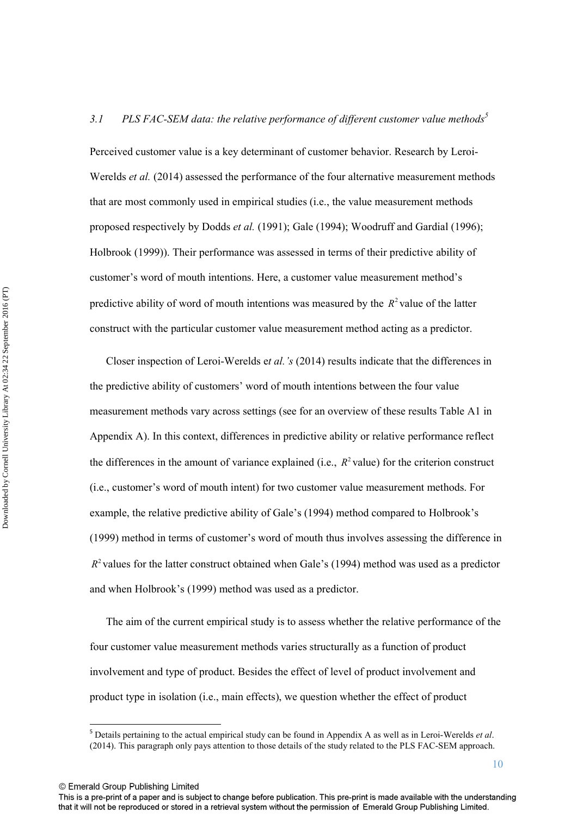Perceived customer value is a key determinant of customer behavior. Research by Leroi-Werelds *et al.* (2014) assessed the performance of the four alternative measurement methods that are most commonly used in empirical studies (i.e., the value measurement methods proposed respectively by Dodds *et al.* (1991); Gale (1994); Woodruff and Gardial (1996); Holbrook (1999)). Their performance was assessed in terms of their predictive ability of customer's word of mouth intentions. Here, a customer value measurement method's predictive ability of word of mouth intentions was measured by the  $R<sup>2</sup>$  value of the latter construct with the particular customer value measurement method acting as a predictor.

Closer inspection of Leroi-Werelds e*t al.'s* (2014) results indicate that the differences in the predictive ability of customers' word of mouth intentions between the four value measurement methods vary across settings (see for an overview of these results Table A1 in Appendix A). In this context, differences in predictive ability or relative performance reflect the differences in the amount of variance explained (i.e.,  $R^2$  value) for the criterion construct (i.e., customer's word of mouth intent) for two customer value measurement methods. For example, the relative predictive ability of Gale's (1994) method compared to Holbrook's (1999) method in terms of customer's word of mouth thus involves assessing the difference in  $R<sup>2</sup>$  values for the latter construct obtained when Gale's (1994) method was used as a predictor and when Holbrook's (1999) method was used as a predictor.

The aim of the current empirical study is to assess whether the relative performance of the four customer value measurement methods varies structurally as a function of product involvement and type of product. Besides the effect of level of product involvement and product type in isolation (i.e., main effects), we question whether the effect of product

l

<sup>5</sup> Details pertaining to the actual empirical study can be found in Appendix A as well as in Leroi-Werelds *et al*. (2014). This paragraph only pays attention to those details of the study related to the PLS FAC-SEM approach.

<sup>©</sup> Emerald Group Publishing Limited

This is a pre-print of a paper and is subject to change before publication. This pre-print is made available with the understanding that it will not be reproduced or stored in a retrieval system without the permission of Emerald Group Publishing Limited.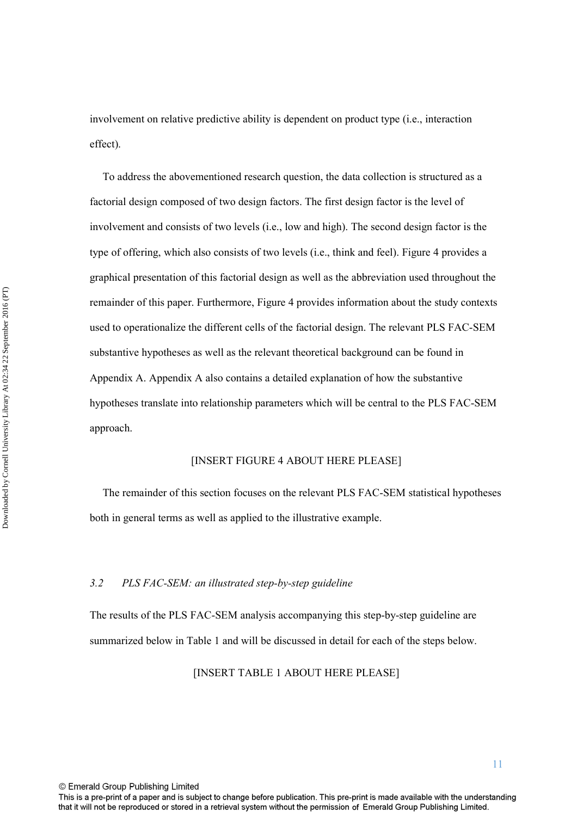involvement on relative predictive ability is dependent on product type (i.e., interaction effect).

To address the abovementioned research question, the data collection is structured as a factorial design composed of two design factors. The first design factor is the level of involvement and consists of two levels (i.e., low and high). The second design factor is the type of offering, which also consists of two levels (i.e., think and feel). Figure 4 provides a graphical presentation of this factorial design as well as the abbreviation used throughout the remainder of this paper. Furthermore, Figure 4 provides information about the study contexts used to operationalize the different cells of the factorial design. The relevant PLS FAC-SEM substantive hypotheses as well as the relevant theoretical background can be found in Appendix A. Appendix A also contains a detailed explanation of how the substantive hypotheses translate into relationship parameters which will be central to the PLS FAC-SEM approach.

# [INSERT FIGURE 4 ABOUT HERE PLEASE]

The remainder of this section focuses on the relevant PLS FAC-SEM statistical hypotheses both in general terms as well as applied to the illustrative example.

# *3.2 PLS FAC-SEM: an illustrated step-by-step guideline*

The results of the PLS FAC-SEM analysis accompanying this step-by-step guideline are summarized below in Table 1 and will be discussed in detail for each of the steps below.

[INSERT TABLE 1 ABOUT HERE PLEASE]

© Emerald Group Publishing Limited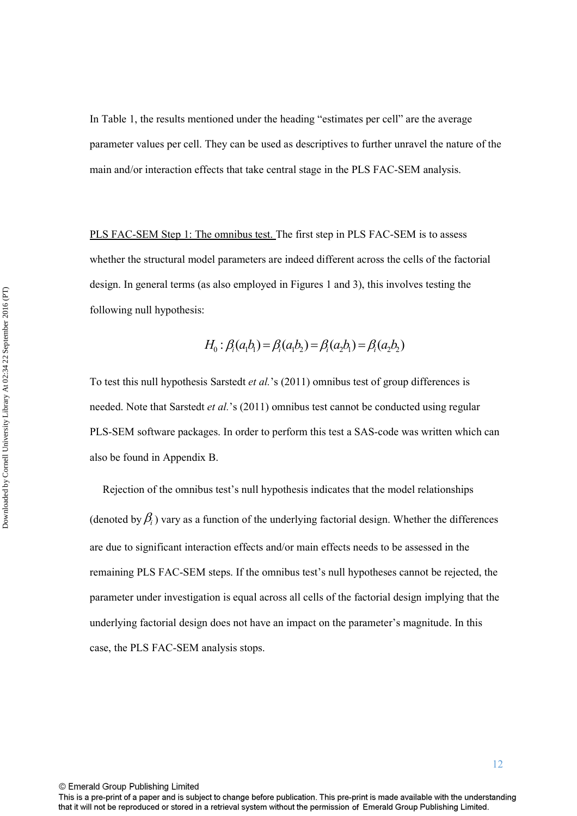In Table 1, the results mentioned under the heading "estimates per cell" are the average parameter values per cell. They can be used as descriptives to further unravel the nature of the main and/or interaction effects that take central stage in the PLS FAC-SEM analysis.

PLS FAC-SEM Step 1: The omnibus test. The first step in PLS FAC-SEM is to assess whether the structural model parameters are indeed different across the cells of the factorial design. In general terms (as also employed in Figures 1 and 3), this involves testing the following null hypothesis:

$$
H_0: \beta_i(a_1b_1) = \beta_i(a_1b_2) = \beta_i(a_2b_1) = \beta_i(a_2b_2)
$$

To test this null hypothesis Sarstedt *et al.*'s (2011) omnibus test of group differences is needed. Note that Sarstedt *et al.*'s (2011) omnibus test cannot be conducted using regular PLS-SEM software packages. In order to perform this test a SAS-code was written which can also be found in Appendix B.

Rejection of the omnibus test's null hypothesis indicates that the model relationships (denoted by  $\beta$ <sub>i</sub>) vary as a function of the underlying factorial design. Whether the differences are due to significant interaction effects and/or main effects needs to be assessed in the remaining PLS FAC-SEM steps. If the omnibus test's null hypotheses cannot be rejected, the parameter under investigation is equal across all cells of the factorial design implying that the underlying factorial design does not have an impact on the parameter's magnitude. In this case, the PLS FAC-SEM analysis stops.

© Emerald Group Publishing Limited

This is a pre-print of a paper and is subject to change before publication. This pre-print is made available with the understanding that it will not be reproduced or stored in a retrieval system without the permission of Emerald Group Publishing Limited.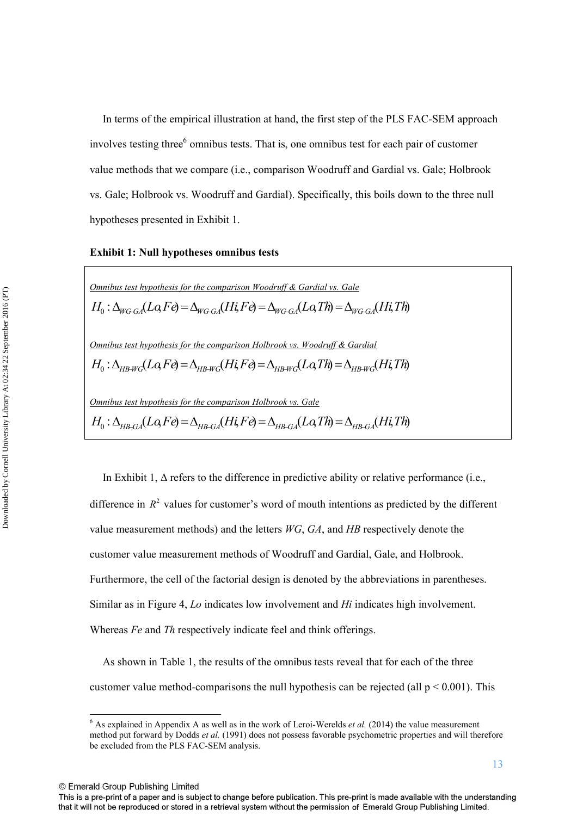In terms of the empirical illustration at hand, the first step of the PLS FAC-SEM approach involves testing three<sup>6</sup> omnibus tests. That is, one omnibus test for each pair of customer value methods that we compare (i.e., comparison Woodruff and Gardial vs. Gale; Holbrook vs. Gale; Holbrook vs. Woodruff and Gardial). Specifically, this boils down to the three null hypotheses presented in Exhibit 1.

# **Exhibit 1: Null hypotheses omnibus tests**

*Omnibus test hypothesis for the comparison Woodruff & Gardial vs. Gale*  $H_0: \Delta_{WGGA}(LQFe) = \Delta_{WGGA}(HiFe) = \Delta_{WGGA}(LQTh) = \Delta_{WGGA}(HiTh)$ *Omnibus test hypothesis for the comparison Holbrook vs. Woodruff & Gardial*  $H_0: \Delta_{HR-WG}(LQFe) = \Delta_{HR-WG}(HiFe) = \Delta_{HR-WG}(LQTh) = \Delta_{HR-WG}(HiTh)$ *Omnibus test hypothesis for the comparison Holbrook vs. Gale*  $H_0: \Delta_{HB-GA}(LaFe) = \Delta_{HB-GA}(HiFe) = \Delta_{HB-GA}(LaTh) = \Delta_{HB-GA}(HiTh)$ 

In Exhibit 1, ∆ refers to the difference in predictive ability or relative performance (i.e., difference in  $R<sup>2</sup>$  values for customer's word of mouth intentions as predicted by the different value measurement methods) and the letters *WG*, *GA*, and *HB* respectively denote the customer value measurement methods of Woodruff and Gardial, Gale, and Holbrook. Furthermore, the cell of the factorial design is denoted by the abbreviations in parentheses. Similar as in Figure 4, *Lo* indicates low involvement and *Hi* indicates high involvement. Whereas *Fe* and *Th* respectively indicate feel and think offerings.

As shown in Table 1, the results of the omnibus tests reveal that for each of the three customer value method-comparisons the null hypothesis can be rejected (all  $p < 0.001$ ). This

© Emerald Group Publishing Limited

l

<sup>&</sup>lt;sup>6</sup> As explained in Appendix A as well as in the work of Leroi-Werelds *et al.* (2014) the value measurement method put forward by Dodds *et al.* (1991) does not possess favorable psychometric properties and will therefore be excluded from the PLS FAC-SEM analysis.

This is a pre-print of a paper and is subject to change before publication. This pre-print is made available with the understanding that it will not be reproduced or stored in a retrieval system without the permission of Emerald Group Publishing Limited.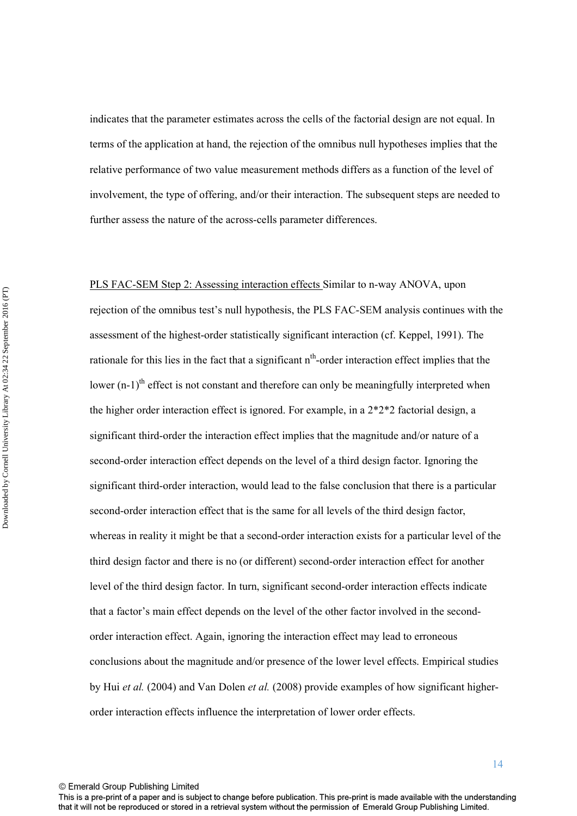indicates that the parameter estimates across the cells of the factorial design are not equal. In terms of the application at hand, the rejection of the omnibus null hypotheses implies that the relative performance of two value measurement methods differs as a function of the level of involvement, the type of offering, and/or their interaction. The subsequent steps are needed to further assess the nature of the across-cells parameter differences.

PLS FAC-SEM Step 2: Assessing interaction effects Similar to n-way ANOVA, upon rejection of the omnibus test's null hypothesis, the PLS FAC-SEM analysis continues with the assessment of the highest-order statistically significant interaction (cf. Keppel, 1991). The rationale for this lies in the fact that a significant  $n<sup>th</sup>$ -order interaction effect implies that the lower  $(n-1)$ <sup>th</sup> effect is not constant and therefore can only be meaningfully interpreted when the higher order interaction effect is ignored. For example, in a 2\*2\*2 factorial design, a significant third-order the interaction effect implies that the magnitude and/or nature of a second-order interaction effect depends on the level of a third design factor. Ignoring the significant third-order interaction, would lead to the false conclusion that there is a particular second-order interaction effect that is the same for all levels of the third design factor, whereas in reality it might be that a second-order interaction exists for a particular level of the third design factor and there is no (or different) second-order interaction effect for another level of the third design factor. In turn, significant second-order interaction effects indicate that a factor's main effect depends on the level of the other factor involved in the secondorder interaction effect. Again, ignoring the interaction effect may lead to erroneous conclusions about the magnitude and/or presence of the lower level effects. Empirical studies by Hui *et al.* (2004) and Van Dolen *et al.* (2008) provide examples of how significant higherorder interaction effects influence the interpretation of lower order effects.

© Emerald Group Publishing Limited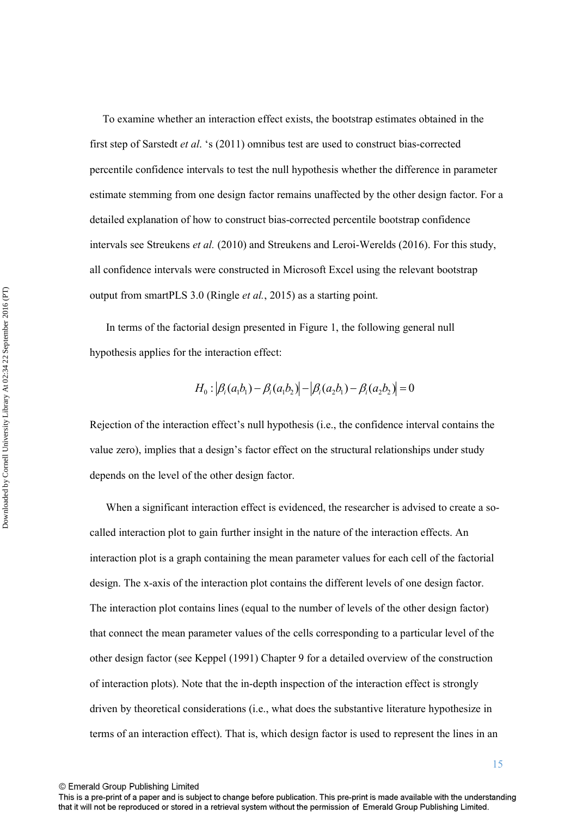To examine whether an interaction effect exists, the bootstrap estimates obtained in the first step of Sarstedt *et al*. 's (2011) omnibus test are used to construct bias-corrected percentile confidence intervals to test the null hypothesis whether the difference in parameter estimate stemming from one design factor remains unaffected by the other design factor. For a detailed explanation of how to construct bias-corrected percentile bootstrap confidence intervals see Streukens *et al.* (2010) and Streukens and Leroi-Werelds (2016). For this study, all confidence intervals were constructed in Microsoft Excel using the relevant bootstrap output from smartPLS 3.0 (Ringle *et al.*, 2015) as a starting point.

In terms of the factorial design presented in Figure 1, the following general null hypothesis applies for the interaction effect:

$$
H_0: |\beta_i(a_1b_1) - \beta_i(a_1b_2)| - |\beta_i(a_2b_1) - \beta_i(a_2b_2)| = 0
$$

Rejection of the interaction effect's null hypothesis (i.e., the confidence interval contains the value zero), implies that a design's factor effect on the structural relationships under study depends on the level of the other design factor.

When a significant interaction effect is evidenced, the researcher is advised to create a socalled interaction plot to gain further insight in the nature of the interaction effects. An interaction plot is a graph containing the mean parameter values for each cell of the factorial design. The x-axis of the interaction plot contains the different levels of one design factor. The interaction plot contains lines (equal to the number of levels of the other design factor) that connect the mean parameter values of the cells corresponding to a particular level of the other design factor (see Keppel (1991) Chapter 9 for a detailed overview of the construction of interaction plots). Note that the in-depth inspection of the interaction effect is strongly driven by theoretical considerations (i.e., what does the substantive literature hypothesize in terms of an interaction effect). That is, which design factor is used to represent the lines in an

© Emerald Group Publishing Limited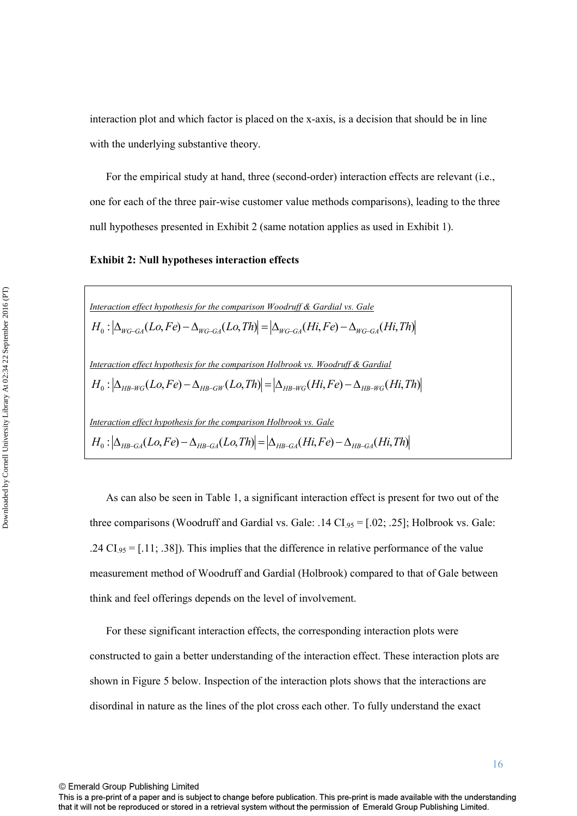interaction plot and which factor is placed on the x-axis, is a decision that should be in line with the underlying substantive theory.

For the empirical study at hand, three (second-order) interaction effects are relevant (i.e., one for each of the three pair-wise customer value methods comparisons), leading to the three null hypotheses presented in Exhibit 2 (same notation applies as used in Exhibit 1).

**Exhibit 2: Null hypotheses interaction effects** 

Interaction effect hypothesis for the comparison Woodruff & Gardial vs. Gale  
\n
$$
H_0: |\Delta_{WG-GA}(Lo, Fe) - \Delta_{WG-GA}(Lo, Th)| = |\Delta_{WG-GA}(Hi, Fe) - \Delta_{WG-GA}(Hi, Th)|
$$
\n
$$
\frac{H_0: |\Delta_{HG-GA}(Lo, Fe) - \Delta_{HG-GA}(Lo, Th)| = |\Delta_{HB-WG}(Hi, Fe) - \Delta_{HB-WG}(Hi, Th)|}{\frac{H_0: |\Delta_{HB-WG}(Lo, Fe) - \Delta_{HB-GW}(Lo, Th)|}{\frac{H_0: |\Delta_{HB-GA}(Lo, Fe) - \Delta_{HB-GW}(Lo, Th)|}{\frac{H_0: |\Delta_{HB-GA}(Lo, Fe) - \Delta_{HB-GA}(Lo, Th)|}} = |\Delta_{HB-GA}(Hi, Fe) - \Delta_{HB-GA}(Hi, Th)|}
$$

As can also be seen in Table 1, a significant interaction effect is present for two out of the three comparisons (Woodruff and Gardial vs. Gale: .14  $CI_{.95} = [.02; .25]$ ; Holbrook vs. Gale: .24 CI<sub>95</sub> = [.11; .38]). This implies that the difference in relative performance of the value measurement method of Woodruff and Gardial (Holbrook) compared to that of Gale between think and feel offerings depends on the level of involvement.

For these significant interaction effects, the corresponding interaction plots were constructed to gain a better understanding of the interaction effect. These interaction plots are shown in Figure 5 below. Inspection of the interaction plots shows that the interactions are disordinal in nature as the lines of the plot cross each other. To fully understand the exact

© Emerald Group Publishing Limited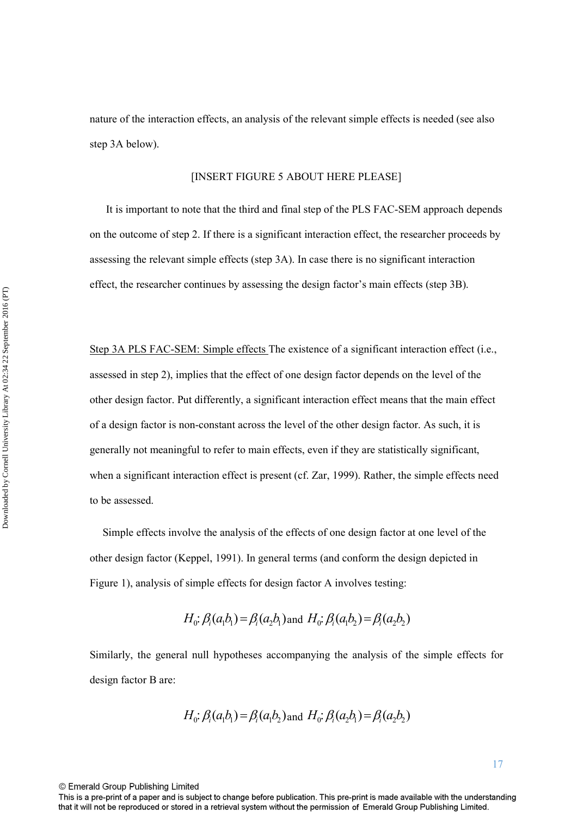nature of the interaction effects, an analysis of the relevant simple effects is needed (see also step 3A below).

# [INSERT FIGURE 5 ABOUT HERE PLEASE]

It is important to note that the third and final step of the PLS FAC-SEM approach depends on the outcome of step 2. If there is a significant interaction effect, the researcher proceeds by assessing the relevant simple effects (step 3A). In case there is no significant interaction effect, the researcher continues by assessing the design factor's main effects (step 3B).

Step 3A PLS FAC-SEM: Simple effects The existence of a significant interaction effect (i.e., assessed in step 2), implies that the effect of one design factor depends on the level of the other design factor. Put differently, a significant interaction effect means that the main effect of a design factor is non-constant across the level of the other design factor. As such, it is generally not meaningful to refer to main effects, even if they are statistically significant, when a significant interaction effect is present (cf. Zar, 1999). Rather, the simple effects need to be assessed.

Simple effects involve the analysis of the effects of one design factor at one level of the other design factor (Keppel, 1991). In general terms (and conform the design depicted in Figure 1), analysis of simple effects for design factor A involves testing:

$$
H_0: \beta_i(a_1b_1) = \beta_i(a_2b_1)
$$
 and  $H_0: \beta_i(a_1b_2) = \beta_i(a_2b_2)$ 

Similarly, the general null hypotheses accompanying the analysis of the simple effects for design factor B are:

$$
H_0: \beta_i(a_1b_1) = \beta_i(a_1b_2) \text{ and } H_0: \beta_i(a_2b_1) = \beta_i(a_2b_2)
$$

© Emerald Group Publishing Limited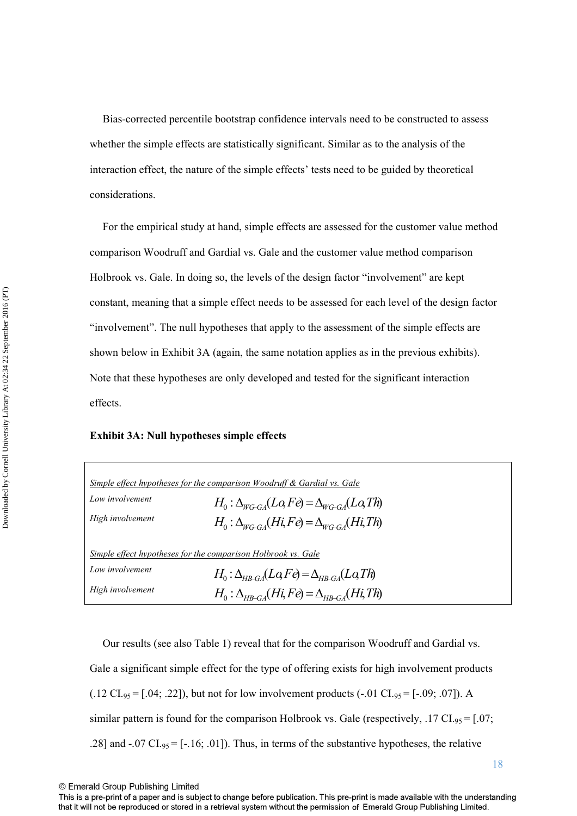Bias-corrected percentile bootstrap confidence intervals need to be constructed to assess whether the simple effects are statistically significant. Similar as to the analysis of the interaction effect, the nature of the simple effects' tests need to be guided by theoretical considerations.

For the empirical study at hand, simple effects are assessed for the customer value method comparison Woodruff and Gardial vs. Gale and the customer value method comparison Holbrook vs. Gale. In doing so, the levels of the design factor "involvement" are kept constant, meaning that a simple effect needs to be assessed for each level of the design factor "involvement". The null hypotheses that apply to the assessment of the simple effects are shown below in Exhibit 3A (again, the same notation applies as in the previous exhibits). Note that these hypotheses are only developed and tested for the significant interaction effects.

# **Exhibit 3A: Null hypotheses simple effects**

| <u>Simple effect hypotheses for the comparison Woodruff &amp; Gardial vs. Gale</u> |                                                        |  |  |  |  |  |
|------------------------------------------------------------------------------------|--------------------------------------------------------|--|--|--|--|--|
| Low involvement                                                                    | $H_0: \Delta_{WG-GA}(LgFe) = \Delta_{WG-GA}(LgTh)$     |  |  |  |  |  |
| High involvement                                                                   | $H_0: \Delta_{WGGA}(Hi, Fe) = \Delta_{WGGA}(Hi, Th)$   |  |  |  |  |  |
|                                                                                    |                                                        |  |  |  |  |  |
| Simple effect hypotheses for the comparison Holbrook vs. Gale                      |                                                        |  |  |  |  |  |
| Low involvement                                                                    | $H_0: \Delta_{HR-GA}(LgFe) = \Delta_{HR-GA}(LgTh)$     |  |  |  |  |  |
| High involvement                                                                   | $H_0: \Delta_{HR-GA}(Hi, Fe) = \Delta_{HR-GA}(Hi, Th)$ |  |  |  |  |  |
|                                                                                    |                                                        |  |  |  |  |  |

Our results (see also Table 1) reveal that for the comparison Woodruff and Gardial vs. Gale a significant simple effect for the type of offering exists for high involvement products  $(.12 \text{ CI.}_{95} = [.04; .22])$ , but not for low involvement products  $(-.01 \text{ CI.}_{95} = [-.09; .07])$ . A similar pattern is found for the comparison Holbrook vs. Gale (respectively, .17 CI. $_{95}$  = [.07; .28] and  $-.07 \text{ CI}_{.95} = [-16, .01]$ . Thus, in terms of the substantive hypotheses, the relative

© Emerald Group Publishing Limited

18

This is a pre-print of a paper and is subject to change before publication. This pre-print is made available with the understanding that it will not be reproduced or stored in a retrieval system without the permission of Emerald Group Publishing Limited.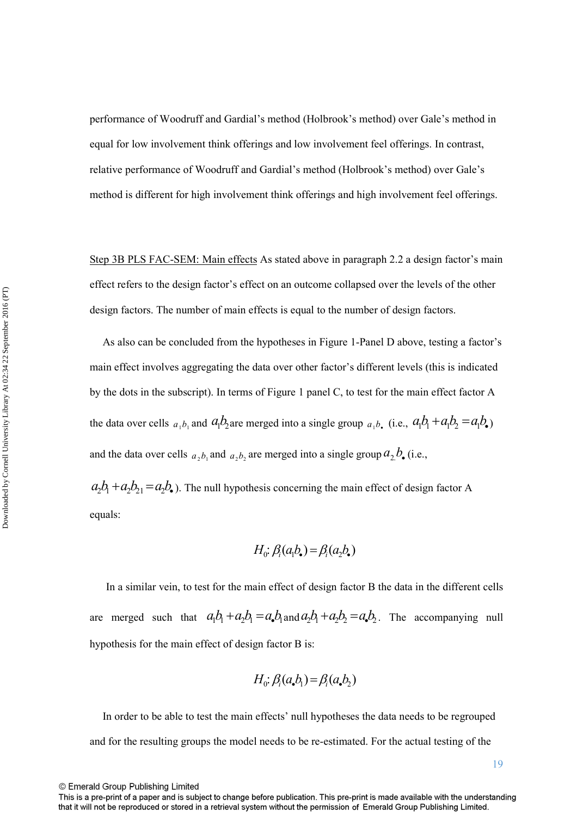performance of Woodruff and Gardial's method (Holbrook's method) over Gale's method in equal for low involvement think offerings and low involvement feel offerings. In contrast, relative performance of Woodruff and Gardial's method (Holbrook's method) over Gale's method is different for high involvement think offerings and high involvement feel offerings.

Step 3B PLS FAC-SEM: Main effects As stated above in paragraph 2.2 a design factor's main effect refers to the design factor's effect on an outcome collapsed over the levels of the other design factors. The number of main effects is equal to the number of design factors.

As also can be concluded from the hypotheses in Figure 1-Panel D above, testing a factor's main effect involves aggregating the data over other factor's different levels (this is indicated by the dots in the subscript). In terms of Figure 1 panel C, to test for the main effect factor A the data over cells  $a_1b_1$  and  $a_1b_2$  are merged into a single group  $a_1b$ , (i.e.,  $a_1b_1 + a_1b_2 = a_1b$ ) and the data over cells  $a_2b_1$  and  $a_2b_2$  are merged into a single group  $a_2b_2$  (i.e.,

 $a_2b_1 + a_2b_2 = a_2b_2$ . The null hypothesis concerning the main effect of design factor A equals:

$$
H_0: \beta_i(a_1b_*) = \beta_i(a_2b_*)
$$

In a similar vein, to test for the main effect of design factor B the data in the different cells are merged such that  $a_1 b_1 + a_2 b_1 = a_2 b_1$  and  $a_2 b_1 + a_2 b_2 = a_2 b_2$ . The accompanying null hypothesis for the main effect of design factor B is:

$$
H_0: \beta_i(a_{\bullet}b_1) = \beta_i(a_{\bullet}b_2)
$$

In order to be able to test the main effects' null hypotheses the data needs to be regrouped and for the resulting groups the model needs to be re-estimated. For the actual testing of the

© Emerald Group Publishing Limited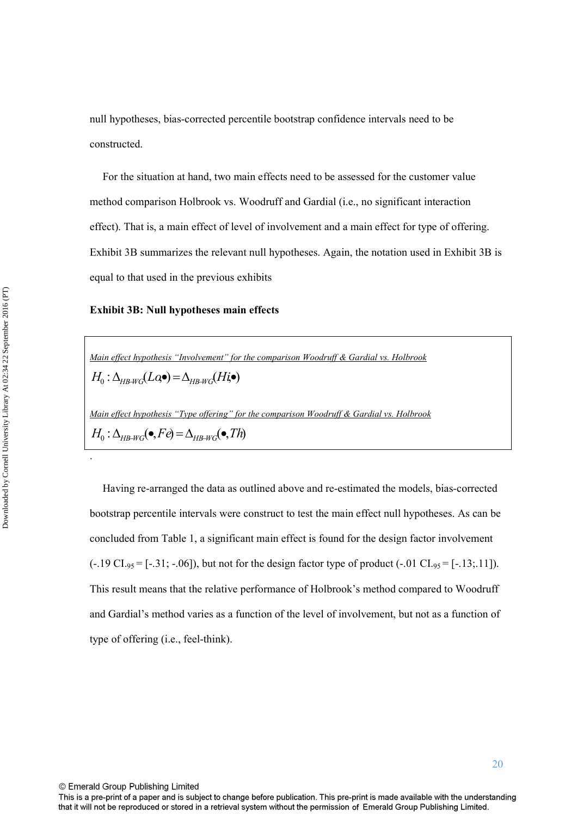null hypotheses, bias-corrected percentile bootstrap confidence intervals need to be constructed.

For the situation at hand, two main effects need to be assessed for the customer value method comparison Holbrook vs. Woodruff and Gardial (i.e., no significant interaction effect). That is, a main effect of level of involvement and a main effect for type of offering. Exhibit 3B summarizes the relevant null hypotheses. Again, the notation used in Exhibit 3B is equal to that used in the previous exhibits

## **Exhibit 3B: Null hypotheses main effects**

*Main effect hypothesis "Involvement" for the comparison Woodruff & Gardial vs. Holbrook*  $H_0: \Delta_{HB-WG}(La\bullet) = \Delta_{HB-WG}(Hi\bullet)$ *Main effect hypothesis "Type offering" for the comparison Woodruff & Gardial vs. Holbrook*  $H_0: \Delta_{HB-WG}(\bullet, Fe) = \Delta_{HB-WG}(\bullet, Th)$ 

Having re-arranged the data as outlined above and re-estimated the models, bias-corrected bootstrap percentile intervals were construct to test the main effect null hypotheses. As can be concluded from Table 1, a significant main effect is found for the design factor involvement  $(-.19 \text{ CI.}_{95} = [-.31; -.06])$ , but not for the design factor type of product  $(-.01 \text{ CI.}_{95} = [-.13; .11])$ . This result means that the relative performance of Holbrook's method compared to Woodruff and Gardial's method varies as a function of the level of involvement, but not as a function of type of offering (i.e., feel-think).

© Emerald Group Publishing Limited

This is a pre-print of a paper and is subject to change before publication. This pre-print is made available with the understanding that it will not be reproduced or stored in a retrieval system without the permission of Emerald Group Publishing Limited.

.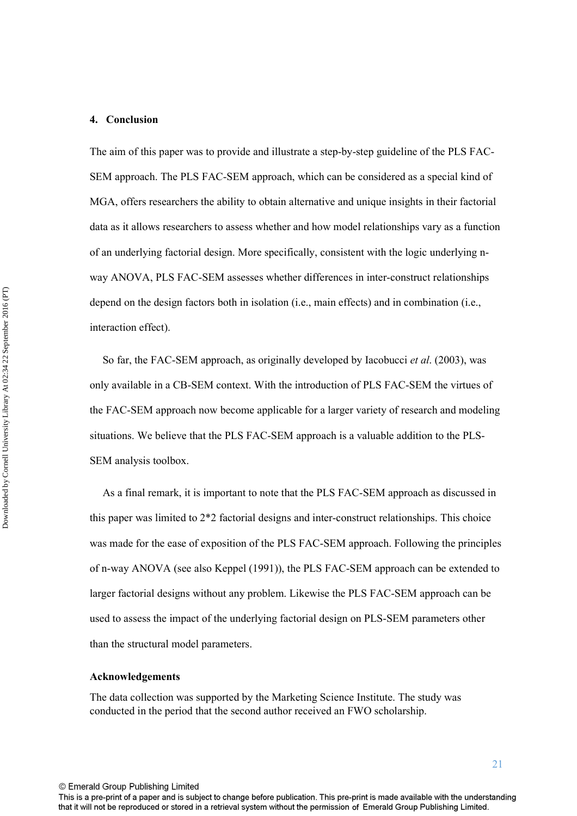#### **4. Conclusion**

The aim of this paper was to provide and illustrate a step-by-step guideline of the PLS FAC-SEM approach. The PLS FAC-SEM approach, which can be considered as a special kind of MGA, offers researchers the ability to obtain alternative and unique insights in their factorial data as it allows researchers to assess whether and how model relationships vary as a function of an underlying factorial design. More specifically, consistent with the logic underlying nway ANOVA, PLS FAC-SEM assesses whether differences in inter-construct relationships depend on the design factors both in isolation (i.e., main effects) and in combination (i.e., interaction effect).

So far, the FAC-SEM approach, as originally developed by Iacobucci *et al*. (2003), was only available in a CB-SEM context. With the introduction of PLS FAC-SEM the virtues of the FAC-SEM approach now become applicable for a larger variety of research and modeling situations. We believe that the PLS FAC-SEM approach is a valuable addition to the PLS-SEM analysis toolbox.

As a final remark, it is important to note that the PLS FAC-SEM approach as discussed in this paper was limited to  $2*2$  factorial designs and inter-construct relationships. This choice was made for the ease of exposition of the PLS FAC-SEM approach. Following the principles of n-way ANOVA (see also Keppel (1991)), the PLS FAC-SEM approach can be extended to larger factorial designs without any problem. Likewise the PLS FAC-SEM approach can be used to assess the impact of the underlying factorial design on PLS-SEM parameters other than the structural model parameters.

#### **Acknowledgements**

The data collection was supported by the Marketing Science Institute. The study was conducted in the period that the second author received an FWO scholarship.

© Emerald Group Publishing Limited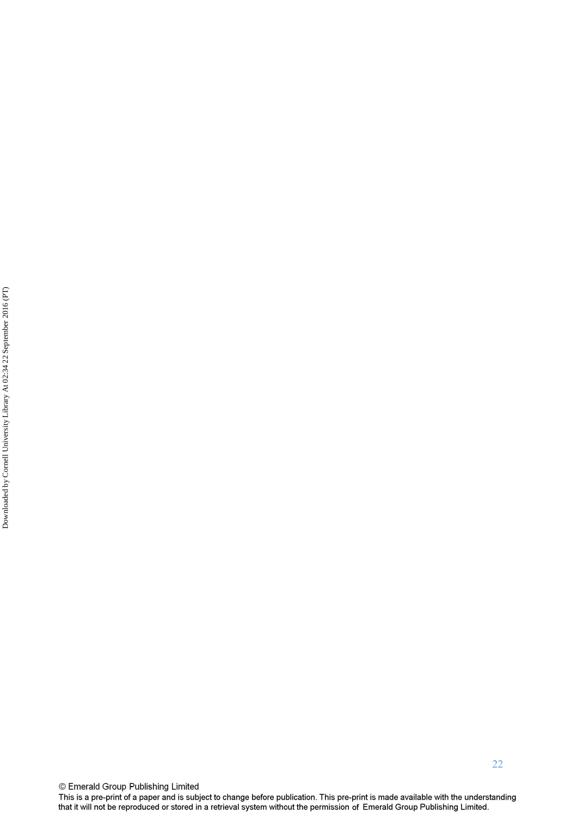Downloaded by Cornell University Library At 02:34 22 September 2016 (PT) Downloaded by Cornell University Library At 02:34 22 September 2016 (PT)

> © Emerald Group Publishing Limited This is a pre-print of a paper and is subject to change before publication. This pre-print is made available with the understanding<br>that it will not be reproduced or stored in a retrieval system without the permission of E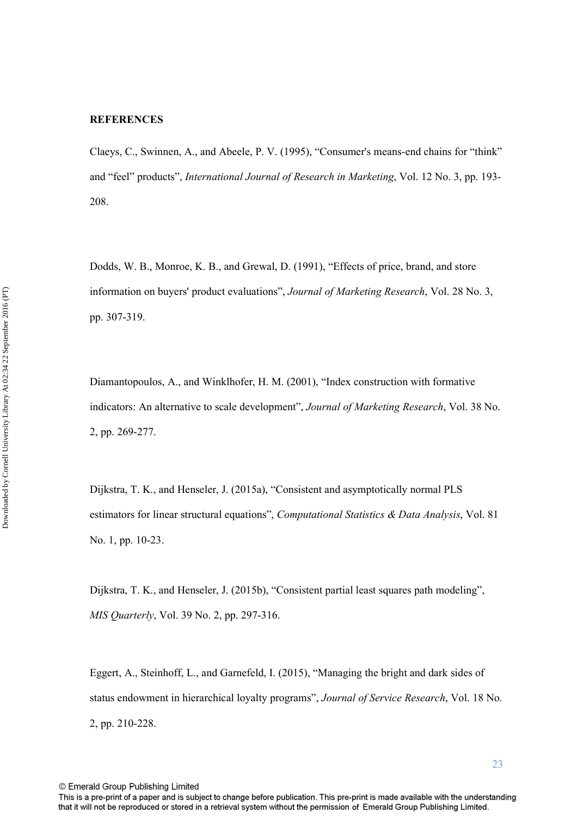Claeys, C., Swinnen, A., and Abeele, P. V. (1995), "Consumer's means-end chains for "think" and "feel" products", *International Journal of Research in Marketing*, Vol. 12 No. 3, pp. 193- 208.

Dodds, W. B., Monroe, K. B., and Grewal, D. (1991), "Effects of price, brand, and store information on buyers' product evaluations", *Journal of Marketing Research*, Vol. 28 No. 3, pp. 307-319.

Diamantopoulos, A., and Winklhofer, H. M. (2001), "Index construction with formative indicators: An alternative to scale development", *Journal of Marketing Research*, Vol. 38 No. 2, pp. 269-277.

Dijkstra, T. K., and Henseler, J. (2015a), "Consistent and asymptotically normal PLS estimators for linear structural equations", *Computational Statistics & Data Analysis*, Vol. 81 No. 1, pp. 10-23.

Dijkstra, T. K., and Henseler, J. (2015b), "Consistent partial least squares path modeling", *MIS Quarterly*, Vol. 39 No. 2, pp. 297-316.

Eggert, A., Steinhoff, L., and Garnefeld, I. (2015), "Managing the bright and dark sides of status endowment in hierarchical loyalty programs", *Journal of Service Research*, Vol. 18 No. 2, pp. 210-228.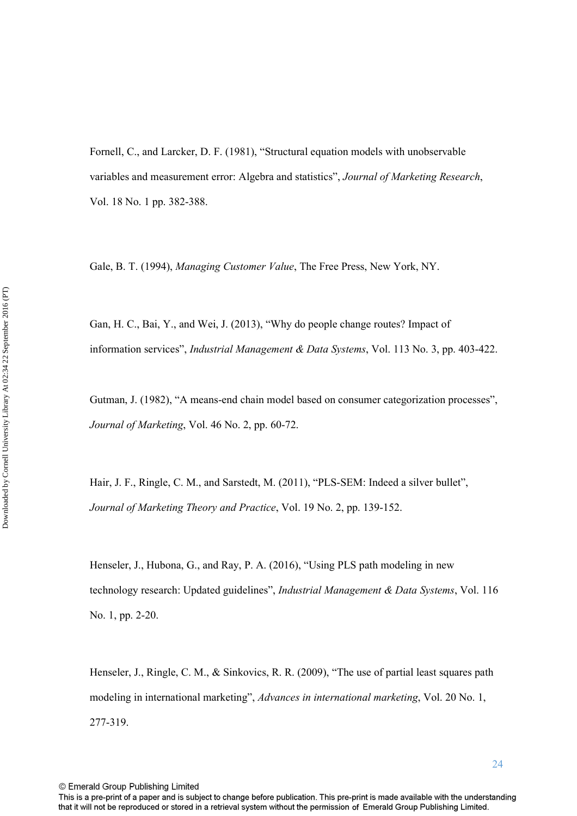Fornell, C., and Larcker, D. F. (1981), "Structural equation models with unobservable variables and measurement error: Algebra and statistics", *Journal of Marketing Research*, Vol. 18 No. 1 pp. 382-388.

Gale, B. T. (1994), *Managing Customer Value*, The Free Press, New York, NY.

Gan, H. C., Bai, Y., and Wei, J. (2013), "Why do people change routes? Impact of information services", *Industrial Management & Data Systems*, Vol. 113 No. 3, pp. 403-422.

Gutman, J. (1982), "A means-end chain model based on consumer categorization processes", *Journal of Marketing*, Vol. 46 No. 2, pp. 60-72.

Hair, J. F., Ringle, C. M., and Sarstedt, M. (2011), "PLS-SEM: Indeed a silver bullet", *Journal of Marketing Theory and Practice*, Vol. 19 No. 2, pp. 139-152.

Henseler, J., Hubona, G., and Ray, P. A. (2016), "Using PLS path modeling in new technology research: Updated guidelines", *Industrial Management & Data Systems*, Vol. 116 No. 1, pp. 2-20.

Henseler, J., Ringle, C. M., & Sinkovics, R. R. (2009), "The use of partial least squares path modeling in international marketing", *Advances in international marketing*, Vol. 20 No. 1, 277-319.

© Emerald Group Publishing Limited

This is a pre-print of a paper and is subject to change before publication. This pre-print is made available with the understanding that it will not be reproduced or stored in a retrieval system without the permission of Emerald Group Publishing Limited.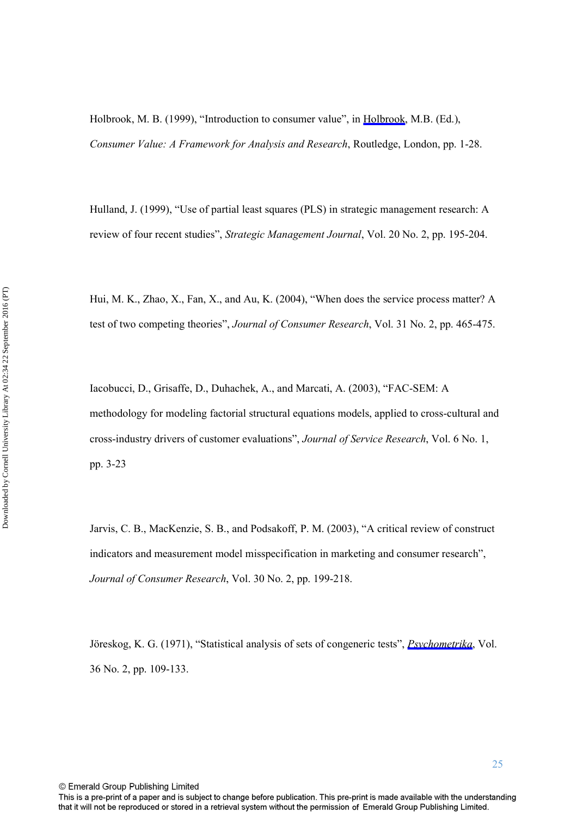Holbrook, M. B. (1999), "Introduction to consumer value", in [Holbrook,](http://www.emeraldinsight.com/action/showLinks?crossref=10.4324%2F9780203010679.ch0) M.B. (Ed.), *Consumer Value: A Framework for Analysis and Research*, Routledge, London, pp. 1-28.

Hulland, J. (1999), "Use of partial least squares (PLS) in strategic management research: A review of four recent studies", *Strategic Management Journal*, Vol. 20 No. 2, pp. 195-204.

Hui, M. K., Zhao, X., Fan, X., and Au, K. (2004), "When does the service process matter? A test of two competing theories", *Journal of Consumer Research*, Vol. 31 No. 2, pp. 465-475.

Iacobucci, D., Grisaffe, D., Duhachek, A., and Marcati, A. (2003), "FAC-SEM: A methodology for modeling factorial structural equations models, applied to cross-cultural and cross-industry drivers of customer evaluations", *Journal of Service Research*, Vol. 6 No. 1, pp. 3-23

Jarvis, C. B., MacKenzie, S. B., and Podsakoff, P. M. (2003), "A critical review of construct indicators and measurement model misspecification in marketing and consumer research", *Journal of Consumer Research*, Vol. 30 No. 2, pp. 199-218.

Jöreskog, K. G. (1971), "Statistical analysis of sets of congeneric tests", *[Psychometrika](http://www.emeraldinsight.com/action/showLinks?crossref=10.1007%2FBF02291393)*, Vol. 36 No. 2, pp. 109-133.

© Emerald Group Publishing Limited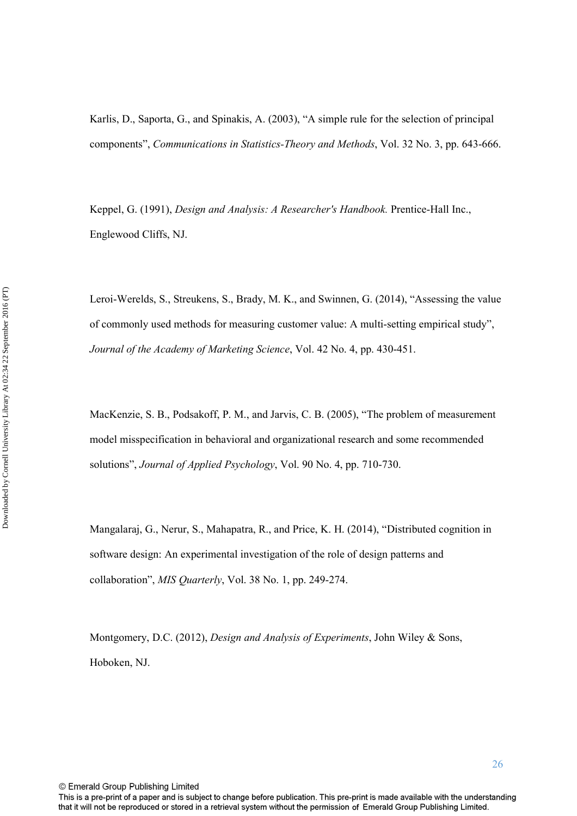Karlis, D., Saporta, G., and Spinakis, A. (2003), "A simple rule for the selection of principal components", *Communications in Statistics-Theory and Methods*, Vol. 32 No. 3, pp. 643-666.

Keppel, G. (1991), *Design and Analysis: A Researcher's Handbook.* Prentice-Hall Inc., Englewood Cliffs, NJ.

Leroi-Werelds, S., Streukens, S., Brady, M. K., and Swinnen, G. (2014), "Assessing the value of commonly used methods for measuring customer value: A multi-setting empirical study", *Journal of the Academy of Marketing Science*, Vol. 42 No. 4, pp. 430-451.

MacKenzie, S. B., Podsakoff, P. M., and Jarvis, C. B. (2005), "The problem of measurement model misspecification in behavioral and organizational research and some recommended solutions", *Journal of Applied Psychology*, Vol. 90 No. 4, pp. 710-730.

Mangalaraj, G., Nerur, S., Mahapatra, R., and Price, K. H. (2014), "Distributed cognition in software design: An experimental investigation of the role of design patterns and collaboration", *MIS Quarterly*, Vol. 38 No. 1, pp. 249-274.

Montgomery, D.C. (2012), *Design and Analysis of Experiments*, John Wiley & Sons, Hoboken, NJ.

© Emerald Group Publishing Limited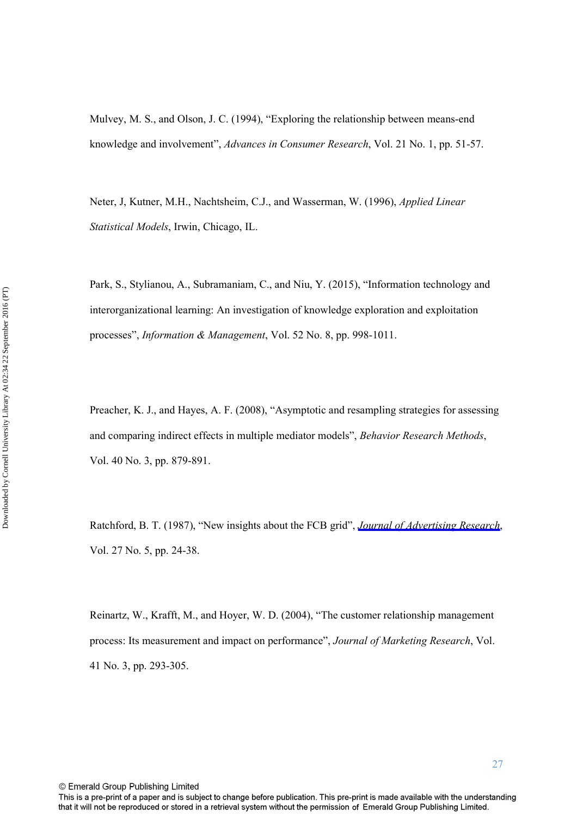Mulvey, M. S., and Olson, J. C. (1994), "Exploring the relationship between means-end knowledge and involvement", *Advances in Consumer Research*, Vol. 21 No. 1, pp. 51-57.

Neter, J, Kutner, M.H., Nachtsheim, C.J., and Wasserman, W. (1996), *Applied Linear Statistical Models*, Irwin, Chicago, IL.

Park, S., Stylianou, A., Subramaniam, C., and Niu, Y. (2015), "Information technology and interorganizational learning: An investigation of knowledge exploration and exploitation processes", *Information & Management*, Vol. 52 No. 8, pp. 998-1011.

Preacher, K. J., and Hayes, A. F. (2008), "Asymptotic and resampling strategies for assessing and comparing indirect effects in multiple mediator models", *Behavior Research Methods*, Vol. 40 No. 3, pp. 879-891.

Ratchford, B. T. (1987), "New insights about the FCB grid", *[Journal of Advertising Research](http://www.emeraldinsight.com/action/showLinks?isi=A1987J890200004)*, Vol. 27 No. 5, pp. 24-38.

Reinartz, W., Krafft, M., and Hoyer, W. D. (2004), "The customer relationship management process: Its measurement and impact on performance", *Journal of Marketing Research*, Vol. 41 No. 3, pp. 293-305.

© Emerald Group Publishing Limited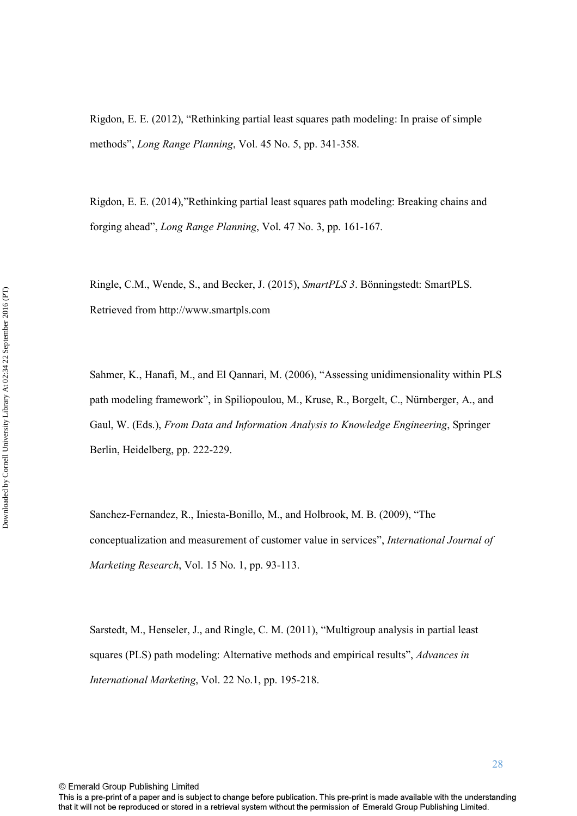Rigdon, E. E. (2012), "Rethinking partial least squares path modeling: In praise of simple methods", *Long Range Planning*, Vol. 45 No. 5, pp. 341-358.

Rigdon, E. E. (2014),"Rethinking partial least squares path modeling: Breaking chains and forging ahead", *Long Range Planning*, Vol. 47 No. 3, pp. 161-167.

Ringle, C.M., Wende, S., and Becker, J. (2015), *SmartPLS 3*. Bönningstedt: SmartPLS. Retrieved from http://www.smartpls.com

Sahmer, K., Hanafi, M., and El Qannari, M. (2006), "Assessing unidimensionality within PLS path modeling framework", in Spiliopoulou, M., Kruse, R., Borgelt, C., Nürnberger, A., and Gaul, W. (Eds.), *From Data and Information Analysis to Knowledge Engineering*, Springer Berlin, Heidelberg, pp. 222-229.

Sanchez-Fernandez, R., Iniesta-Bonillo, M., and Holbrook, M. B. (2009), "The conceptualization and measurement of customer value in services", *International Journal of Marketing Research*, Vol. 15 No. 1, pp. 93-113.

Sarstedt, M., Henseler, J., and Ringle, C. M. (2011), "Multigroup analysis in partial least squares (PLS) path modeling: Alternative methods and empirical results", *Advances in International Marketing*, Vol. 22 No.1, pp. 195-218.

© Emerald Group Publishing Limited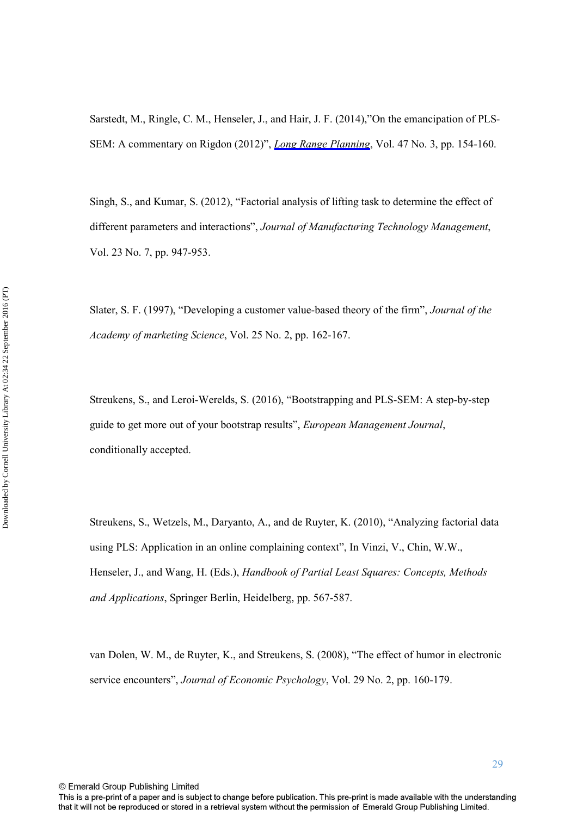Sarstedt, M., Ringle, C. M., Henseler, J., and Hair, J. F. (2014),"On the emancipation of PLS-SEM: A commentary on Rigdon (2012)", *[Long Range Planning](http://www.emeraldinsight.com/action/showLinks?isi=000338597300005)*, Vol. 47 No. 3, pp. 154-160.

Singh, S., and Kumar, S. (2012), "Factorial analysis of lifting task to determine the effect of different parameters and interactions", *Journal of Manufacturing Technology Management*, Vol. 23 No. 7, pp. 947-953.

Slater, S. F. (1997), "Developing a customer value-based theory of the firm", *Journal of the Academy of marketing Science*, Vol. 25 No. 2, pp. 162-167.

Streukens, S., and Leroi-Werelds, S. (2016), "Bootstrapping and PLS-SEM: A step-by-step guide to get more out of your bootstrap results", *European Management Journal*, conditionally accepted.

Streukens, S., Wetzels, M., Daryanto, A., and de Ruyter, K. (2010), "Analyzing factorial data using PLS: Application in an online complaining context", In Vinzi, V., Chin, W.W., Henseler, J., and Wang, H. (Eds.), *Handbook of Partial Least Squares: Concepts, Methods and Applications*, Springer Berlin, Heidelberg, pp. 567-587.

van Dolen, W. M., de Ruyter, K., and Streukens, S. (2008), "The effect of humor in electronic service encounters", *Journal of Economic Psychology*, Vol. 29 No. 2, pp. 160-179.

© Emerald Group Publishing Limited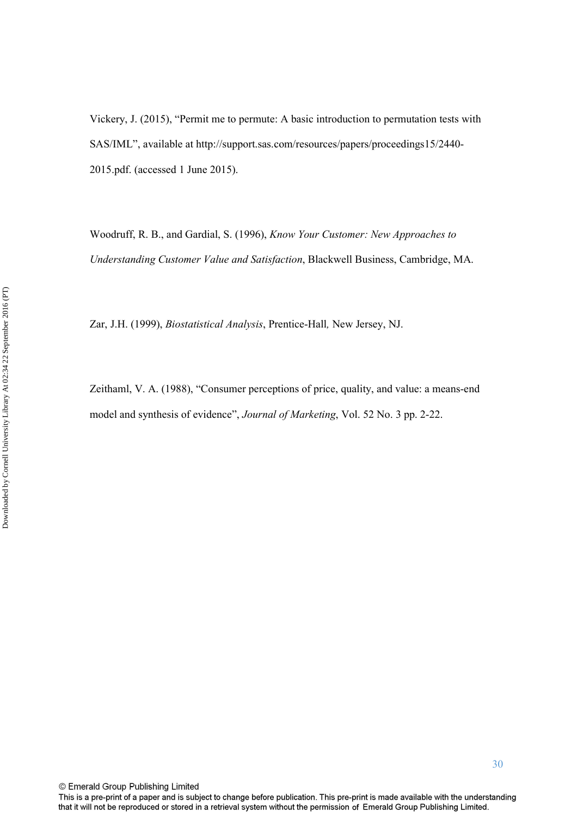Vickery, J. (2015), "Permit me to permute: A basic introduction to permutation tests with SAS/IML", available at http://support.sas.com/resources/papers/proceedings15/2440- 2015.pdf. (accessed 1 June 2015).

Woodruff, R. B., and Gardial, S. (1996), *Know Your Customer: New Approaches to Understanding Customer Value and Satisfaction*, Blackwell Business, Cambridge, MA.

Zar, J.H. (1999), *Biostatistical Analysis*, Prentice-Hall*,* New Jersey, NJ.

Zeithaml, V. A. (1988), "Consumer perceptions of price, quality, and value: a means-end model and synthesis of evidence", *Journal of Marketing*, Vol. 52 No. 3 pp. 2-22.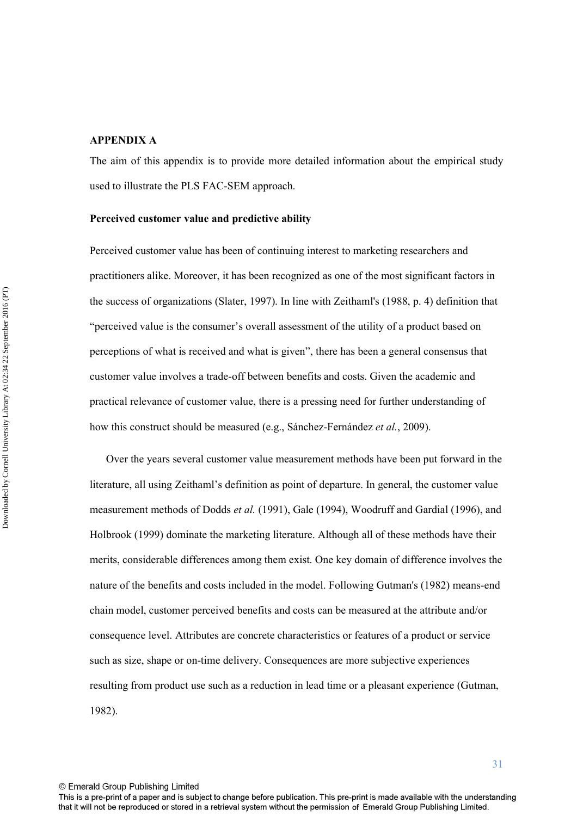# **APPENDIX A**

The aim of this appendix is to provide more detailed information about the empirical study used to illustrate the PLS FAC-SEM approach.

## **Perceived customer value and predictive ability**

Perceived customer value has been of continuing interest to marketing researchers and practitioners alike. Moreover, it has been recognized as one of the most significant factors in the success of organizations (Slater, 1997). In line with Zeithaml's (1988, p. 4) definition that "perceived value is the consumer's overall assessment of the utility of a product based on perceptions of what is received and what is given", there has been a general consensus that customer value involves a trade-off between benefits and costs. Given the academic and practical relevance of customer value, there is a pressing need for further understanding of how this construct should be measured (e.g., Sánchez-Fernández *et al.*, 2009).

Over the years several customer value measurement methods have been put forward in the literature, all using Zeithaml's definition as point of departure. In general, the customer value measurement methods of Dodds *et al.* (1991), Gale (1994), Woodruff and Gardial (1996), and Holbrook (1999) dominate the marketing literature. Although all of these methods have their merits, considerable differences among them exist. One key domain of difference involves the nature of the benefits and costs included in the model. Following Gutman's (1982) means-end chain model, customer perceived benefits and costs can be measured at the attribute and/or consequence level. Attributes are concrete characteristics or features of a product or service such as size, shape or on-time delivery. Consequences are more subjective experiences resulting from product use such as a reduction in lead time or a pleasant experience (Gutman, 1982).

© Emerald Group Publishing Limited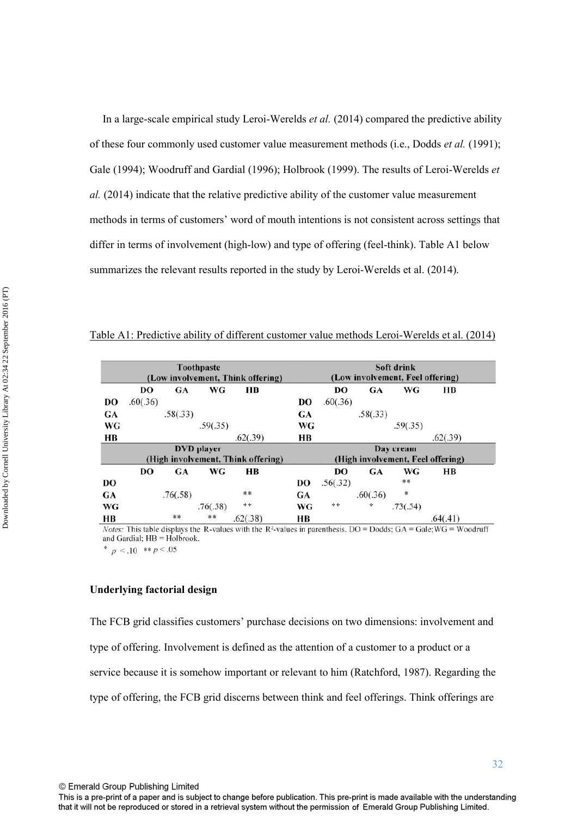In a large-scale empirical study Leroi-Werelds *et al.* (2014) compared the predictive ability of these four commonly used customer value measurement methods (i.e., Dodds *et al.* (1991); Gale (1994); Woodruff and Gardial (1996); Holbrook (1999). The results of Leroi-Werelds *et al.* (2014) indicate that the relative predictive ability of the customer value measurement methods in terms of customers' word of mouth intentions is not consistent across settings that differ in terms of involvement (high-low) and type of offering (feel-think). Table A1 below summarizes the relevant results reported in the study by Leroi-Werelds et al. (2014).

|           | <b>Toothpaste</b><br>(Low involvement, Think offering) |                                    |                   | Soft drink<br>(Low involvement, Feel offering) |    |          |          |           |          |
|-----------|--------------------------------------------------------|------------------------------------|-------------------|------------------------------------------------|----|----------|----------|-----------|----------|
|           | DO                                                     | GA                                 | WG                | HВ                                             |    | DO       | GA       | WG        | HВ       |
| DO        | .60(.36)                                               |                                    |                   |                                                | DO | .60(.36) |          |           |          |
| GA        |                                                        | .58(.33)                           |                   |                                                | GA |          | .58(.33) |           |          |
| WG        |                                                        |                                    | .59(.35)          |                                                | WG |          |          | .59(.35)  |          |
| HВ        |                                                        |                                    |                   | .62(.39)                                       | HВ |          |          |           | .62(.39) |
|           |                                                        |                                    | <b>DVD</b> player |                                                |    |          |          | Day cream |          |
|           |                                                        | (High involvement, Think offering) |                   | (High involvement, Feel offering)              |    |          |          |           |          |
|           | DO                                                     | GA                                 | WG                | <b>HB</b>                                      |    | DO       | GA       | WG        | HB       |
| DO        |                                                        |                                    |                   |                                                | DO | .56(.32) |          | **        |          |
| <b>GA</b> |                                                        | .76(.58)                           |                   | **                                             | GA |          | .60(.36) | *         |          |
| WG        |                                                        |                                    | .76(.58)          | **                                             | WG | **       | Ŷ        | .73(.54)  |          |
| H B       |                                                        | **                                 | **                | .62(.38)                                       | HВ |          |          |           | .64(.41) |

*Notes:* This table displays the R-values with the R<sup>2</sup>-values in parenthesis,  $DO = Dodds$ ;  $GA = Gale$ ;  $WG = Woodr$ and Gardial; HB = Holbrook.

\*  $p < 10$  \*\*  $p < 0.05$ 

# **Underlying factorial design**

The FCB grid classifies customers' purchase decisions on two dimensions: involvement and type of offering. Involvement is defined as the attention of a customer to a product or a service because it is somehow important or relevant to him (Ratchford, 1987). Regarding the type of offering, the FCB grid discerns between think and feel offerings. Think offerings are

© Emerald Group Publishing Limited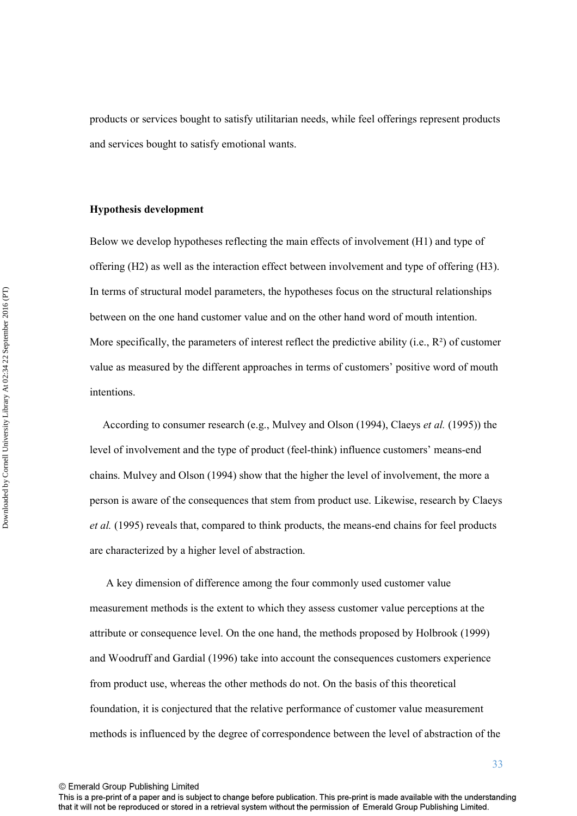products or services bought to satisfy utilitarian needs, while feel offerings represent products and services bought to satisfy emotional wants.

## **Hypothesis development**

Below we develop hypotheses reflecting the main effects of involvement (H1) and type of offering (H2) as well as the interaction effect between involvement and type of offering (H3). In terms of structural model parameters, the hypotheses focus on the structural relationships between on the one hand customer value and on the other hand word of mouth intention. More specifically, the parameters of interest reflect the predictive ability (i.e.,  $\mathbb{R}^2$ ) of customer value as measured by the different approaches in terms of customers' positive word of mouth intentions.

According to consumer research (e.g., Mulvey and Olson (1994), Claeys *et al.* (1995)) the level of involvement and the type of product (feel-think) influence customers' means-end chains. Mulvey and Olson (1994) show that the higher the level of involvement, the more a person is aware of the consequences that stem from product use. Likewise, research by Claeys *et al.* (1995) reveals that, compared to think products, the means-end chains for feel products are characterized by a higher level of abstraction.

A key dimension of difference among the four commonly used customer value measurement methods is the extent to which they assess customer value perceptions at the attribute or consequence level. On the one hand, the methods proposed by Holbrook (1999) and Woodruff and Gardial (1996) take into account the consequences customers experience from product use, whereas the other methods do not. On the basis of this theoretical foundation, it is conjectured that the relative performance of customer value measurement methods is influenced by the degree of correspondence between the level of abstraction of the

© Emerald Group Publishing Limited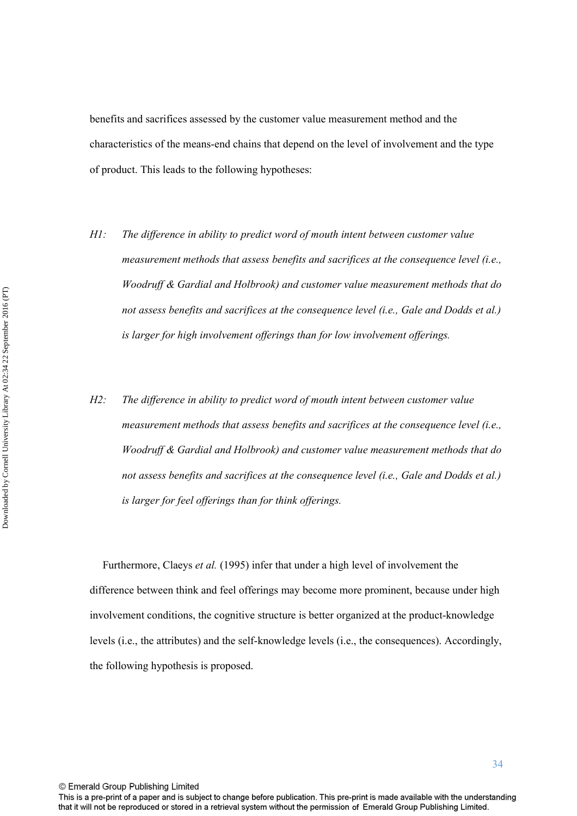benefits and sacrifices assessed by the customer value measurement method and the characteristics of the means-end chains that depend on the level of involvement and the type of product. This leads to the following hypotheses:

- *H1: The difference in ability to predict word of mouth intent between customer value measurement methods that assess benefits and sacrifices at the consequence level (i.e., Woodruff & Gardial and Holbrook) and customer value measurement methods that do not assess benefits and sacrifices at the consequence level (i.e., Gale and Dodds et al.) is larger for high involvement offerings than for low involvement offerings.*
- *H2: The difference in ability to predict word of mouth intent between customer value measurement methods that assess benefits and sacrifices at the consequence level (i.e., Woodruff & Gardial and Holbrook) and customer value measurement methods that do not assess benefits and sacrifices at the consequence level (i.e., Gale and Dodds et al.) is larger for feel offerings than for think offerings.*

Furthermore, Claeys *et al.* (1995) infer that under a high level of involvement the difference between think and feel offerings may become more prominent, because under high involvement conditions, the cognitive structure is better organized at the product-knowledge levels (i.e., the attributes) and the self-knowledge levels (i.e., the consequences). Accordingly, the following hypothesis is proposed.

34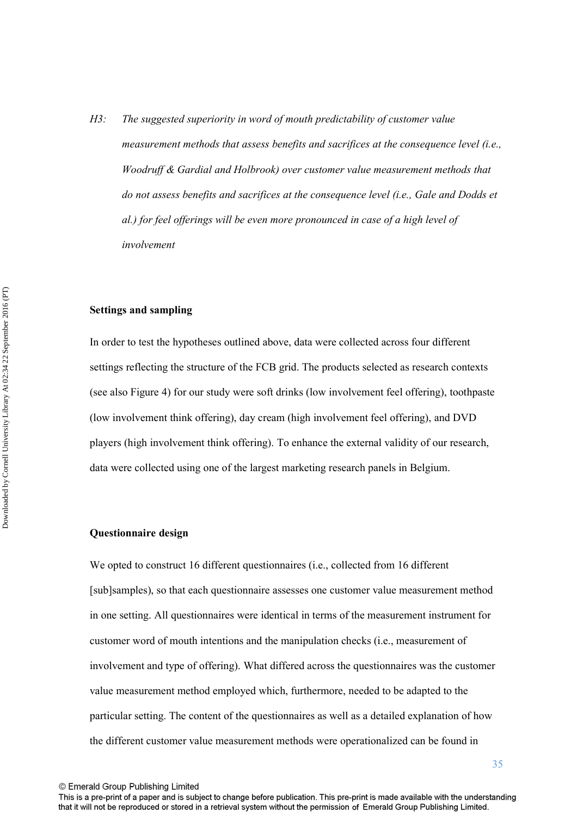*H3: The suggested superiority in word of mouth predictability of customer value measurement methods that assess benefits and sacrifices at the consequence level (i.e., Woodruff & Gardial and Holbrook) over customer value measurement methods that do not assess benefits and sacrifices at the consequence level (i.e., Gale and Dodds et al.) for feel offerings will be even more pronounced in case of a high level of involvement* 

# **Settings and sampling**

In order to test the hypotheses outlined above, data were collected across four different settings reflecting the structure of the FCB grid. The products selected as research contexts (see also Figure 4) for our study were soft drinks (low involvement feel offering), toothpaste (low involvement think offering), day cream (high involvement feel offering), and DVD players (high involvement think offering). To enhance the external validity of our research, data were collected using one of the largest marketing research panels in Belgium.

# **Questionnaire design**

We opted to construct 16 different questionnaires (i.e., collected from 16 different [sub]samples), so that each questionnaire assesses one customer value measurement method in one setting. All questionnaires were identical in terms of the measurement instrument for customer word of mouth intentions and the manipulation checks (i.e., measurement of involvement and type of offering). What differed across the questionnaires was the customer value measurement method employed which, furthermore, needed to be adapted to the particular setting. The content of the questionnaires as well as a detailed explanation of how the different customer value measurement methods were operationalized can be found in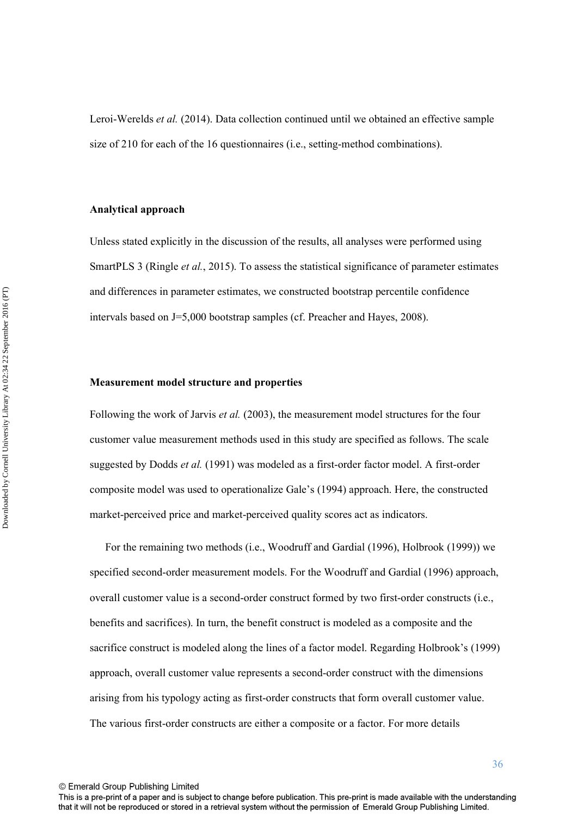Leroi-Werelds *et al.* (2014). Data collection continued until we obtained an effective sample size of 210 for each of the 16 questionnaires (i.e., setting-method combinations).

# **Analytical approach**

Unless stated explicitly in the discussion of the results, all analyses were performed using SmartPLS 3 (Ringle *et al.*, 2015). To assess the statistical significance of parameter estimates and differences in parameter estimates, we constructed bootstrap percentile confidence intervals based on J=5,000 bootstrap samples (cf. Preacher and Hayes, 2008).

## **Measurement model structure and properties**

Following the work of Jarvis *et al.* (2003), the measurement model structures for the four customer value measurement methods used in this study are specified as follows. The scale suggested by Dodds *et al.* (1991) was modeled as a first-order factor model. A first-order composite model was used to operationalize Gale's (1994) approach. Here, the constructed market-perceived price and market-perceived quality scores act as indicators.

For the remaining two methods (i.e., Woodruff and Gardial (1996), Holbrook (1999)) we specified second-order measurement models. For the Woodruff and Gardial (1996) approach, overall customer value is a second-order construct formed by two first-order constructs (i.e., benefits and sacrifices). In turn, the benefit construct is modeled as a composite and the sacrifice construct is modeled along the lines of a factor model. Regarding Holbrook's (1999) approach, overall customer value represents a second-order construct with the dimensions arising from his typology acting as first-order constructs that form overall customer value. The various first-order constructs are either a composite or a factor. For more details

© Emerald Group Publishing Limited

This is a pre-print of a paper and is subject to change before publication. This pre-print is made available with the understanding that it will not be reproduced or stored in a retrieval system without the permission of Emerald Group Publishing Limited.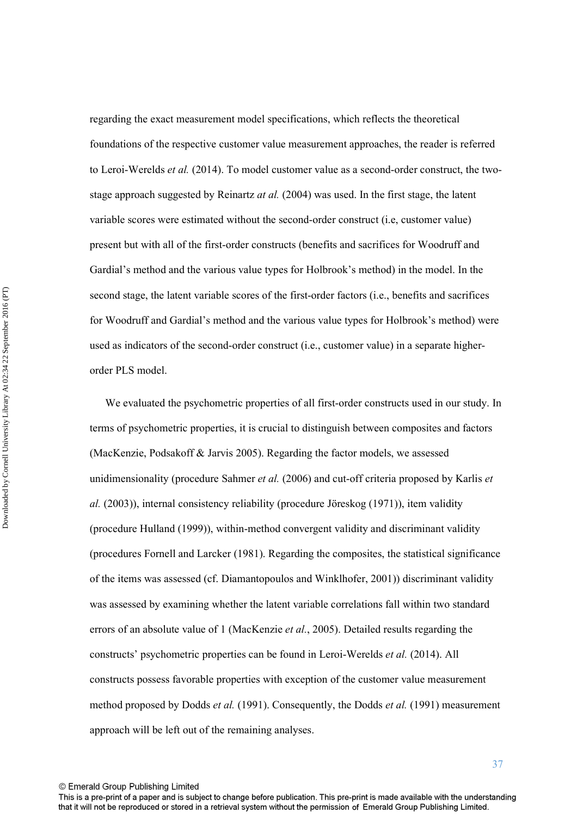regarding the exact measurement model specifications, which reflects the theoretical foundations of the respective customer value measurement approaches, the reader is referred to Leroi-Werelds *et al.* (2014). To model customer value as a second-order construct, the twostage approach suggested by Reinartz *at al.* (2004) was used. In the first stage, the latent variable scores were estimated without the second-order construct (i.e, customer value) present but with all of the first-order constructs (benefits and sacrifices for Woodruff and Gardial's method and the various value types for Holbrook's method) in the model. In the second stage, the latent variable scores of the first-order factors (i.e., benefits and sacrifices for Woodruff and Gardial's method and the various value types for Holbrook's method) were used as indicators of the second-order construct (i.e., customer value) in a separate higherorder PLS model.

We evaluated the psychometric properties of all first-order constructs used in our study. In terms of psychometric properties, it is crucial to distinguish between composites and factors (MacKenzie, Podsakoff & Jarvis 2005). Regarding the factor models, we assessed unidimensionality (procedure Sahmer *et al.* (2006) and cut-off criteria proposed by Karlis *et al.* (2003)), internal consistency reliability (procedure Jöreskog (1971)), item validity (procedure Hulland (1999)), within-method convergent validity and discriminant validity (procedures Fornell and Larcker (1981). Regarding the composites, the statistical significance of the items was assessed (cf. Diamantopoulos and Winklhofer, 2001)) discriminant validity was assessed by examining whether the latent variable correlations fall within two standard errors of an absolute value of 1 (MacKenzie *et al.*, 2005). Detailed results regarding the constructs' psychometric properties can be found in Leroi-Werelds *et al.* (2014). All constructs possess favorable properties with exception of the customer value measurement method proposed by Dodds *et al.* (1991). Consequently, the Dodds *et al.* (1991) measurement approach will be left out of the remaining analyses.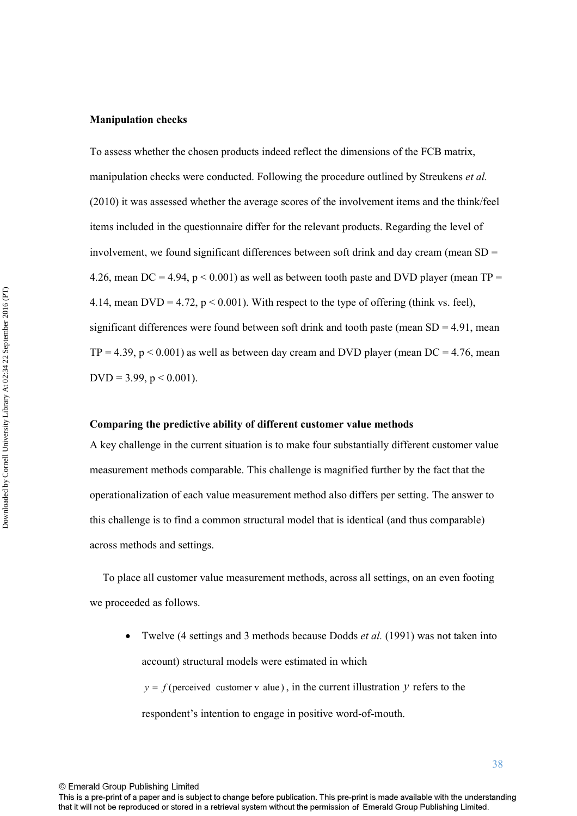#### **Manipulation checks**

To assess whether the chosen products indeed reflect the dimensions of the FCB matrix, manipulation checks were conducted. Following the procedure outlined by Streukens *et al.* (2010) it was assessed whether the average scores of the involvement items and the think/feel items included in the questionnaire differ for the relevant products. Regarding the level of involvement, we found significant differences between soft drink and day cream (mean  $SD =$ 4.26, mean DC = 4.94,  $p < 0.001$ ) as well as between tooth paste and DVD player (mean TP = 4.14, mean DVD = 4.72,  $p < 0.001$ ). With respect to the type of offering (think vs. feel), significant differences were found between soft drink and tooth paste (mean  $SD = 4.91$ , mean  $TP = 4.39$ ,  $p < 0.001$ ) as well as between day cream and DVD player (mean DC = 4.76, mean  $DVD = 3.99$ ,  $p < 0.001$ ).

# **Comparing the predictive ability of different customer value methods**

A key challenge in the current situation is to make four substantially different customer value measurement methods comparable. This challenge is magnified further by the fact that the operationalization of each value measurement method also differs per setting. The answer to this challenge is to find a common structural model that is identical (and thus comparable) across methods and settings.

To place all customer value measurement methods, across all settings, on an even footing we proceeded as follows.

• Twelve (4 settings and 3 methods because Dodds *et al.* (1991) was not taken into account) structural models were estimated in which

 $y = f$  (perceived customer v alue), in the current illustration *y* refers to the respondent's intention to engage in positive word-of-mouth.

© Emerald Group Publishing Limited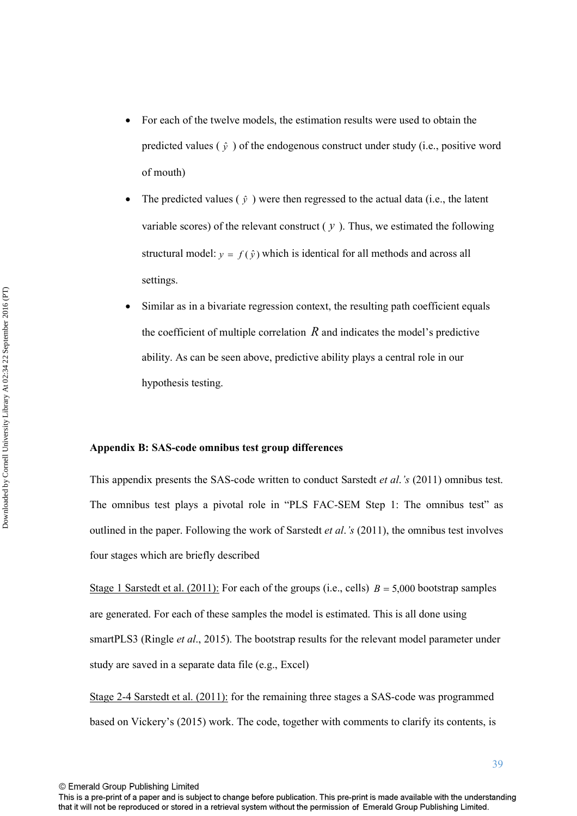- For each of the twelve models, the estimation results were used to obtain the predicted values  $(\hat{v})$  of the endogenous construct under study (i.e., positive word of mouth)
- The predicted values  $(\hat{y})$  were then regressed to the actual data (i.e., the latent variable scores) of the relevant construct ( *y* ). Thus, we estimated the following structural model:  $y = f(\hat{y})$  which is identical for all methods and across all settings.
- Similar as in a bivariate regression context, the resulting path coefficient equals the coefficient of multiple correlation  $R$  and indicates the model's predictive ability. As can be seen above, predictive ability plays a central role in our hypothesis testing.

# **Appendix B: SAS-code omnibus test group differences**

This appendix presents the SAS-code written to conduct Sarstedt *et al*.*'s* (2011) omnibus test. The omnibus test plays a pivotal role in "PLS FAC-SEM Step 1: The omnibus test" as outlined in the paper. Following the work of Sarstedt *et al*.*'s* (2011), the omnibus test involves four stages which are briefly described

Stage 1 Sarstedt et al. (2011): For each of the groups (i.e., cells)  $B = 5,000$  bootstrap samples are generated. For each of these samples the model is estimated. This is all done using smartPLS3 (Ringle *et al*., 2015). The bootstrap results for the relevant model parameter under study are saved in a separate data file (e.g., Excel)

Stage 2-4 Sarstedt et al. (2011): for the remaining three stages a SAS-code was programmed based on Vickery's (2015) work. The code, together with comments to clarify its contents, is

© Emerald Group Publishing Limited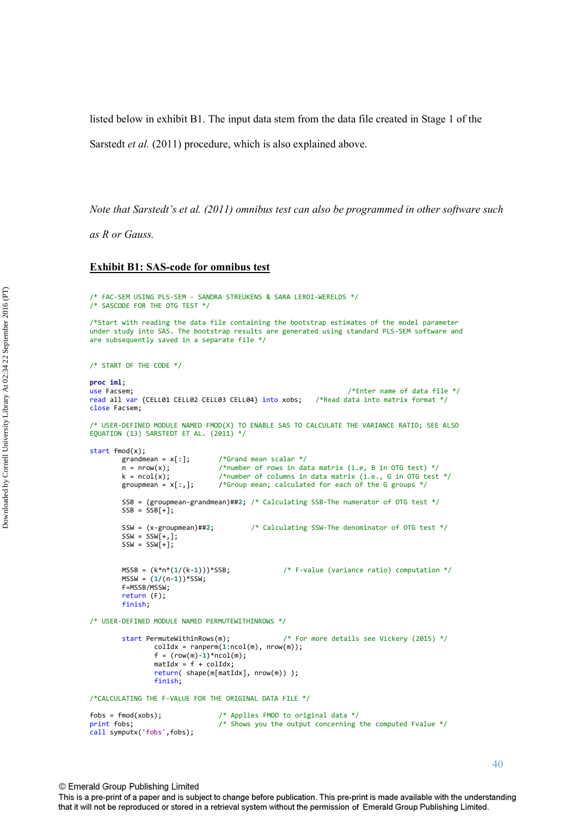listed below in exhibit B1. The input data stem from the data file created in Stage 1 of the

Sarstedt *et al.* (2011) procedure, which is also explained above.

*Note that Sarstedt's et al. (2011) omnibus test can also be programmed in other software such* 

*as R or Gauss.* 

#### **Exhibit B1: SAS-code for omnibus test**

```
/* FAC-SEM USING PLS-SEM - SANDRA STREUKENS & SARA LEROI-WERELDS */ 
/* SASCODE FOR THE OTG TEST *//*Start with reading the data file containing the bootstrap estimates of the model parameter 
under study into SAS. The bootstrap results are generated using standard PLS-SEM software and 
are subsequently saved in a separate file */
/* START OF THE CODE */
proc iml; 
                                                              /*Enter name of data file */<br>/*Read data into matrix format */
read all var {CELL01 CELL02 CELL03 CELL04} into xobs;
close Facsem; 
/* USER-DEFINED MODULE NAMED FMOD(X) TO ENABLE SAS TO CALCULATE THE VARIANCE RATIO; SEE ALSO 
EQUATION (13) SARSTEDT ET AL. (2011) */
start fmod(x);<br>grandmean = x[:];grandmean = x[:]; /*Grand mean scalar */<br>n = nrow(x); /*number of rows in da
         n = nrow(x);<br>
k = ncol(x);<br>
k = ncol(x);<br>
\binom{*}{k} \binom{*}{k} \binom{*}{k} \binom{*}{k} of columns in data matrix (i.e., G in OTG test
k = ncol(x); \qquad \qquad \qquad /*number of columns in data matrix (i.e., G in OTG test */
groupmean = x[:,]; /*Group mean; calculated for each of the G groups */
          SSB = (groupmean-grandmean)##2; /* Calculating SSB-The numerator of OTG test */
         SSB = SSB[+];
                                             /* Calculating SSW-The denominator of OTG test */
         SSW = (x-groupmean)##2;<br>SSW = SSW[+,];
         SSW = SSW[+];
          MSSB = (k*n*(1/(k-1)))*SSB; /* F-value (variance ratio) computation */
          MSSW = (1/(n-1))*SSW; 
          F=MSSB/MSSW; 
         return (F); 
         finish; 
/* USER-DEFINED MODULE NAMED PERMUTEWITHINROWS */
         start PermuteWithinRows(m); /* For more details see Vickery (2015) */
                  colldx = ranperm(1:ncol(m), nrow(m));f = (row(m)-1)*ncol(m);\text{matrix} = f + \text{coll} return( shape(m[matIdx], nrow(m)) ); 
                   finish; 
/*CALCULATING THE F-VALUE FOR THE ORIGINAL DATA FILE */
fobs = fmod(xobs); \frac{1}{2} /* Applies FMOD to original data */<br>print fobs; \frac{1}{2} /* Shows you the output concerning
                                    \frac{1}{2} Shows you the output concerning the computed Fvalue */
```
call symputx('fobs',fobs);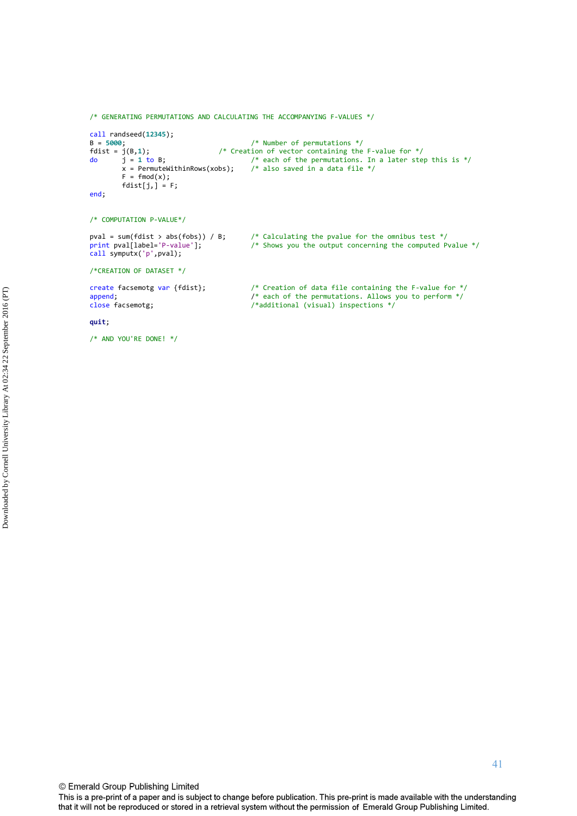```
/* GENERATING PERMUTATIONS AND CALCULATING THE ACCOMPANYING F-VALUES */
```

```
call randseed(12345); 
B = 5000; /* Number of permutations */
fdist = j(B,1); <br> \prime* Creation of vector containing the F-value for */<br> do j = 1 to B; \prime* each of the permutations. In a later ste<sub>l</sub><br> x = PermuteWithinRows(xobs); \prime* also saved in a data file */
do j = 1 to B; /* each of the permutations. In a later step this is */
 x = PermuteWithinRows(xobs); /* also saved in a data file */
         F = \text{fmod}(x);
         fdist[j, j = F;end; 
/* COMPUTATION P-VALUE*/
pval = sum(fdist > abs(fobs)) / B; <br> \frac{1}{2} /* Calculating the pvalue for the omnibus test */<br> \frac{1}{2} /* Shows you the output concerning the computed P
                                              f^* Shows you the output concerning the computed Pvalue fcall symputx('p',pval); 
/*CREATION OF DATASET */ 
create facsemotg var {fdist}; /* Creation of data file containing the F-value for */
append; \overline{\phantom{a}} /* each of the permutations. Allows you to perform */
close facsemotg; /*additional (visual) inspections */
```
**quit**;

/\* AND YOU'RE DONE! \*/

© Emerald Group Publishing Limited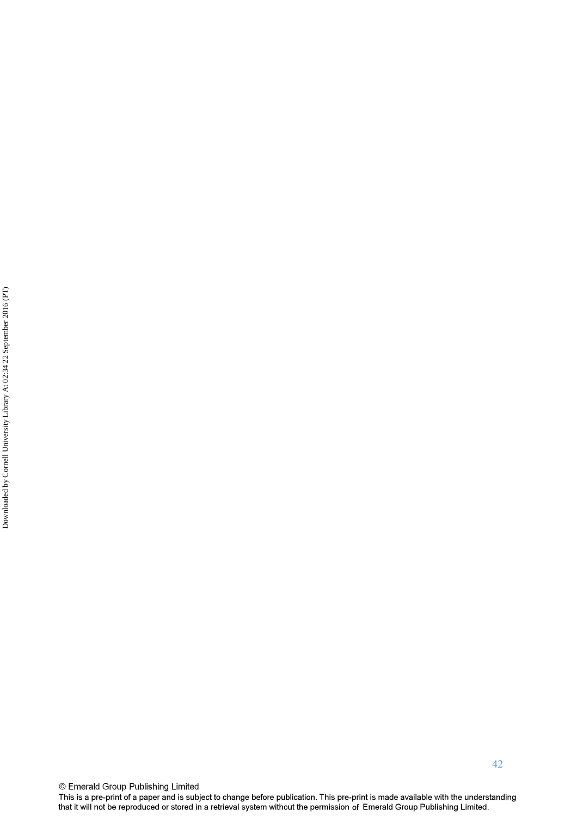Downloaded by Cornell University Library At 02:34 22 September 2016 (PT) Downloaded by Cornell University Library At 02:34 22 September 2016 (PT)

> © Emerald Group Publishing Limited This is a pre-print of a paper and is subject to change before publication. This pre-print is made available with the understanding<br>that it will not be reproduced or stored in a retrieval system without the permission of E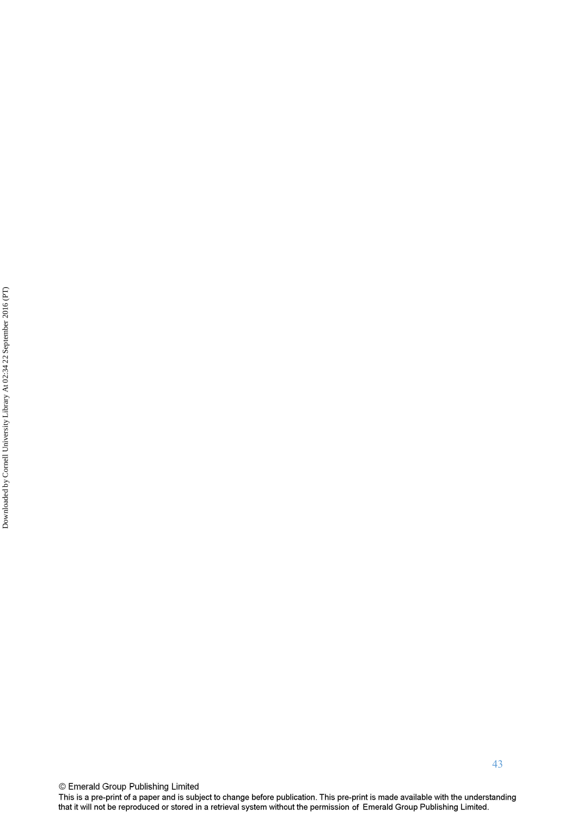Downloaded by Cornell University Library At 02:34 22 September 2016 (PT) Downloaded by Cornell University Library At 02:34 22 September 2016 (PT)

> © Emerald Group Publishing Limited This is a pre-print of a paper and is subject to change before publication. This pre-print is made available with the understanding<br>that it will not be reproduced or stored in a retrieval system without the permission of E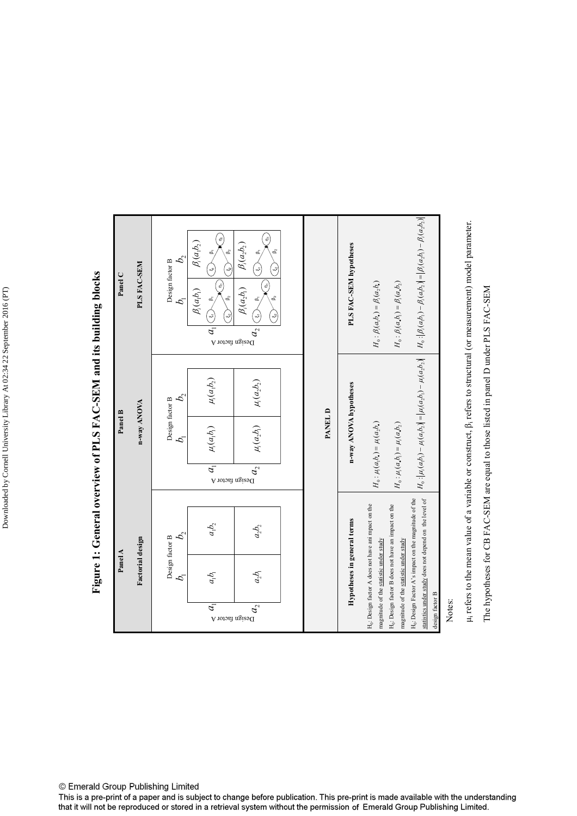$\overline{\phantom{1}}$ 2°2  $H_0: |\beta_i(a_1b_1) - \beta_i(a_1b_2)| = |\beta_i(a_2b_1) - \beta_i(a_2b_1)|$  $\mathcal{L}$  $\overline{G}$  $\checkmark$  $\beta_i(a_1b_1)$   $\beta_i(a_1b_2)$  $\beta_i(a_2b_1)$   $\beta_i(a_2b_2)$ Downloaded by Cornell University Library At 02:34 22 September 2016 (PT)<br> **Product of PLS FAC-SEM and its building blocks**<br> **Product**  $\frac{1}{2}$ <br>  $\frac{1}{2}$  and  $\frac{1}{2}$  and  $\frac{1}{2}$  and  $\frac{1}{2}$  and  $\frac{1}{2}$  and  $\frac{$ **Hypotheses in general terms n-way ANOVA hypotheses PLS FAC-SEM hypotheses** β<sup>2</sup> ຕິ  $\overline{\phantom{1}}$  $\bar{\epsilon}$ œΞ 21  $\mathcal{L}_1$   $\mathcal{L}_2$ *b*Design factor B 1*b* $\bigodot$ **Factorial design n-way ANOVA PLS FAC-SEM**  $\checkmark$  $\beta$ ξ<sup>1</sup> الات ξ<sup>1</sup> **Panel A Panel B Panel C**  $\overline{\mathbb{G}}$  $\overline{\mathbb{Q}}$  $\overline{\phantom{1}}$  $\overline{\phantom{1}}$  $\overline{\phantom{1}}$  $\beta_i(\boldsymbol{a}_1\boldsymbol{b}_\bullet) = \beta_i(\boldsymbol{a}_2\boldsymbol{b}_\bullet)$ *ba* $\frac{2}{2}$  $\overline{\phantom{1}}$  $\overline{\phantom{1}}$  $H_0$  :  $\beta_i(a,b_1) = \beta_i(a)$ 11*bai* $\binom{a}{2}$  $a_2b_1$  $\check{ }$  $\checkmark$ ონ ონ⊺ β<sup>2</sup>  $\checkmark$  $H_0$  :  $\beta_i(a_1b_2) = \beta_i$  $\beta$  $\check{ }$  $\overrightarrow{c}$  $\overline{\phantom{1}}$  $\overline{\phantom{1}}$  $\overline{\phantom{1}}$ ξ<sup>1</sup> ξ<sup>1</sup> الات <u>2</u>  $\beta_i(a,b)$  $\check{ }$  $\checkmark$  $\checkmark$ 1*a* $a^2$  $\beta_i$ Design factor A : : :  $\overline{\phantom{1}}$ 2°2  $H_0$  ;  $|\mu_i(a_i b_i) - \mu_i(a_i b_2)| = |\mu_i(a_2 b_i) - \mu_i(a_2 b_i)|$  $\checkmark$  $\mu_{_l} (a_l b_l)$   $\mu_{_l} (a_l b_2)$  $\mu_{_l} (a_2 b_1) \quad | \quad \mu_{_l} (a_2 b_2)$  $\mu_{i}(a_{1}b_{2}% )=\mu_{i}(a_{2}b_{1}b_{2})+\mu_{i}(a_{1}b_{2})+\mu_{i}(a_{2}b_{1}b_{2})$  $\mu_{i}(a_{2}b_{2}% )\mu_{i}(a_{1}b_{2})=\mu_{i}(a_{2}b_{2})\mu_{i}(a_{2}b_{2})$  $\mu_i(a_1b_1) - \mu_i(a_1b_2) = |\mu_i(a_2b_1) \overline{\phantom{1}}$  2 2<br>2 Design factor B 1*bb* $\checkmark$ **PANEL D** µ  $\widehat{\phantom{m}}$  $\overline{\phantom{1}}$  $\overline{\phantom{1}}$  $H_0: \mu_i(a_1b_2) = \mu_i(a_2b_2)$  $\overline{\phantom{1}}$  $\widehat{\phantom{a}}$ *b a*  $\frac{2}{2}$  $a_2b_1$ 11*bai* $H_0: \mu_i({\bm{a}}_{\bullet} {\bm{b}}_l) = \mu_i({\bm{a}}_{\bullet}$  $\checkmark$  $\checkmark$  $\checkmark$ µ  $\checkmark$  $\checkmark$  $\overline{\phantom{1}}$  $\overline{\phantom{1}}$  $\overline{\phantom{1}}$ <u>5</u>  $\mu_{_i}$  $(a,b)$ 1*a* $a^2$  $\checkmark$  $\overline{\phantom{0}}$  $\checkmark$  $\mathcal{H}_i$ Design factor A : : :  $H_0$ : Design Factor A's impact on the magnitude of the statistics under study does not depend on the level of  $H_0$ : Design factor A does not have ani mpact on the H0: Design factor B does not have an impact on the  $\mathbf{u}_{1}$  $\mathbf{u}_{1}$  $\frac{u_2 v_1}{2}$ *baba* $\frac{2}{1}$ **Factorial design** Design factor B 1*bb*magnitude of the statistic under study magnitude of the statistic under study magnitude of the statistic under study magnitude of the statistic under study Panel A  $a_2b_1$ 11*ba*design factor B Notes: Notes:  $a^2$ Design factor A

**Figure 1: General overview of PLS FAC-SEM and its building blocks** 

µi refers to the mean value of a variable or construct, βi refers to structural (or measurement) model parameter. µ refers to the mean value of a variable or construct,  $\beta_i$  refers to structural (or measurement) model parameter. The hypotheses for CB FAC-SEM are equal to those listed in panel D under PLS FAC-SEM The hypotheses for CB FAC-SEM are equal to those listed in panel D under PLS FAC-SEM

© Emerald Group Publishing Limited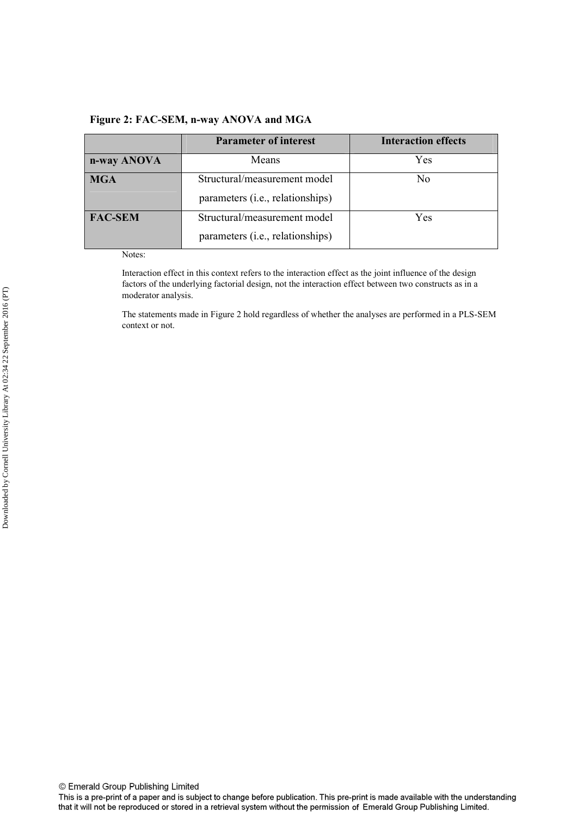# **Figure 2: FAC-SEM, n-way ANOVA and MGA**

|                | <b>Parameter of interest</b>              | <b>Interaction effects</b> |
|----------------|-------------------------------------------|----------------------------|
| n-way ANOVA    | Means                                     | Yes                        |
| <b>MGA</b>     | Structural/measurement model              | N <sub>0</sub>             |
|                | parameters ( <i>i.e.</i> , relationships) |                            |
| <b>FAC-SEM</b> | Structural/measurement model              | Yes                        |
|                | parameters (i.e., relationships)          |                            |

Notes:

Interaction effect in this context refers to the interaction effect as the joint influence of the design factors of the underlying factorial design, not the interaction effect between two constructs as in a moderator analysis.

The statements made in Figure 2 hold regardless of whether the analyses are performed in a PLS-SEM context or not.

© Emerald Group Publishing Limited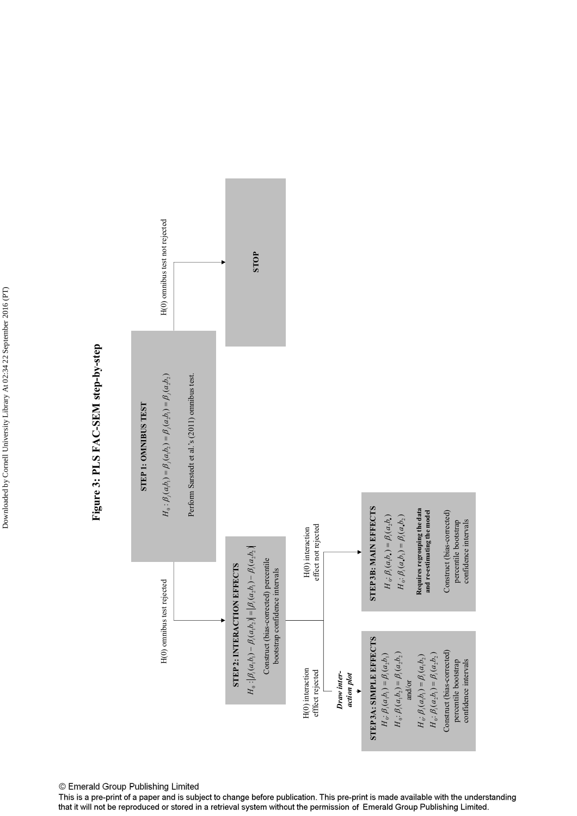



© Emerald Group Publishing Limited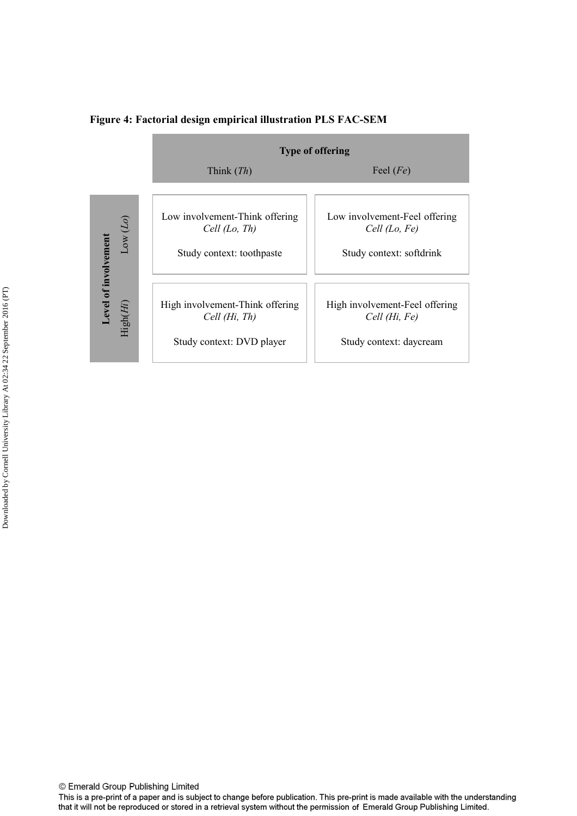



© Emerald Group Publishing Limited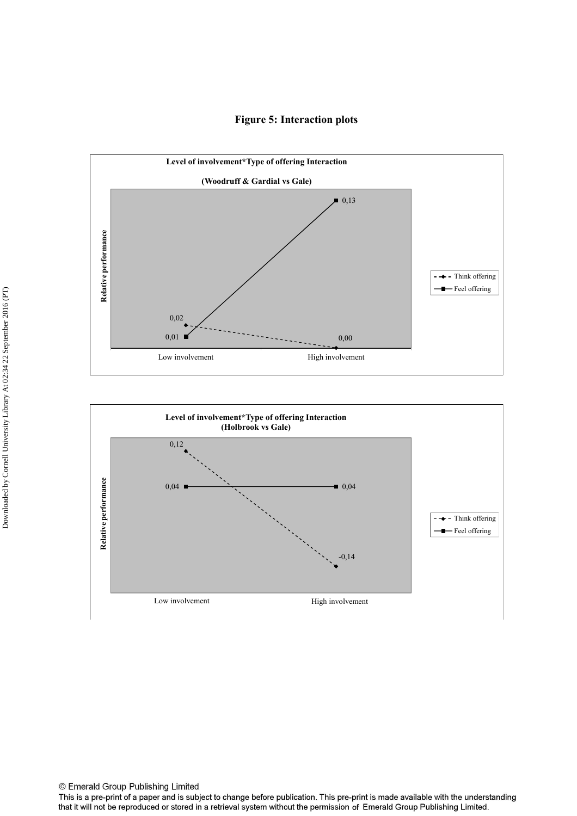# **Figure 5: Interaction plots**





Downloaded by Cornell University Library At 02:34 22 September 2016 (PT) Downloaded by Cornell University Library At 02:34 22 September 2016 (PT)

© Emerald Group Publishing Limited